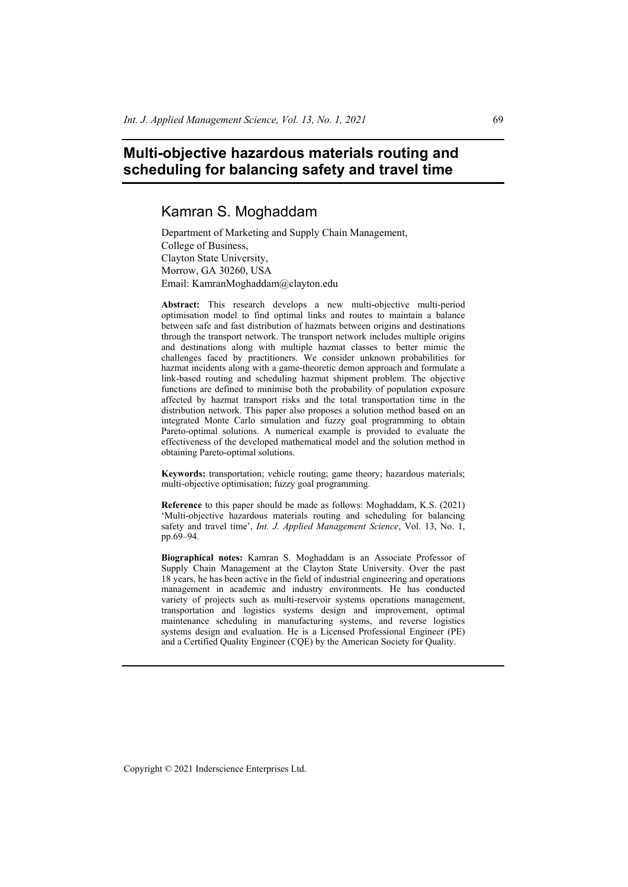# **Multi-objective hazardous materials routing and scheduling for balancing safety and travel time**

# Kamran S. Moghaddam

Department of Marketing and Supply Chain Management, College of Business, Clayton State University, Morrow, GA 30260, USA Email: KamranMoghaddam@clayton.edu

**Abstract:** This research develops a new multi-objective multi-period optimisation model to find optimal links and routes to maintain a balance between safe and fast distribution of hazmats between origins and destinations through the transport network. The transport network includes multiple origins and destinations along with multiple hazmat classes to better mimic the challenges faced by practitioners. We consider unknown probabilities for hazmat incidents along with a game-theoretic demon approach and formulate a link-based routing and scheduling hazmat shipment problem. The objective functions are defined to minimise both the probability of population exposure affected by hazmat transport risks and the total transportation time in the distribution network. This paper also proposes a solution method based on an integrated Monte Carlo simulation and fuzzy goal programming to obtain Pareto-optimal solutions. A numerical example is provided to evaluate the effectiveness of the developed mathematical model and the solution method in obtaining Pareto-optimal solutions.

**Keywords:** transportation; vehicle routing; game theory; hazardous materials; multi-objective optimisation; fuzzy goal programming.

**Reference** to this paper should be made as follows: Moghaddam, K.S. (2021) 'Multi-objective hazardous materials routing and scheduling for balancing safety and travel time', *Int. J. Applied Management Science*, Vol. 13, No. 1, pp.69–94.

**Biographical notes:** Kamran S. Moghaddam is an Associate Professor of Supply Chain Management at the Clayton State University. Over the past 18 years, he has been active in the field of industrial engineering and operations management in academic and industry environments. He has conducted variety of projects such as multi-reservoir systems operations management, transportation and logistics systems design and improvement, optimal maintenance scheduling in manufacturing systems, and reverse logistics systems design and evaluation. He is a Licensed Professional Engineer (PE) and a Certified Quality Engineer (CQE) by the American Society for Quality.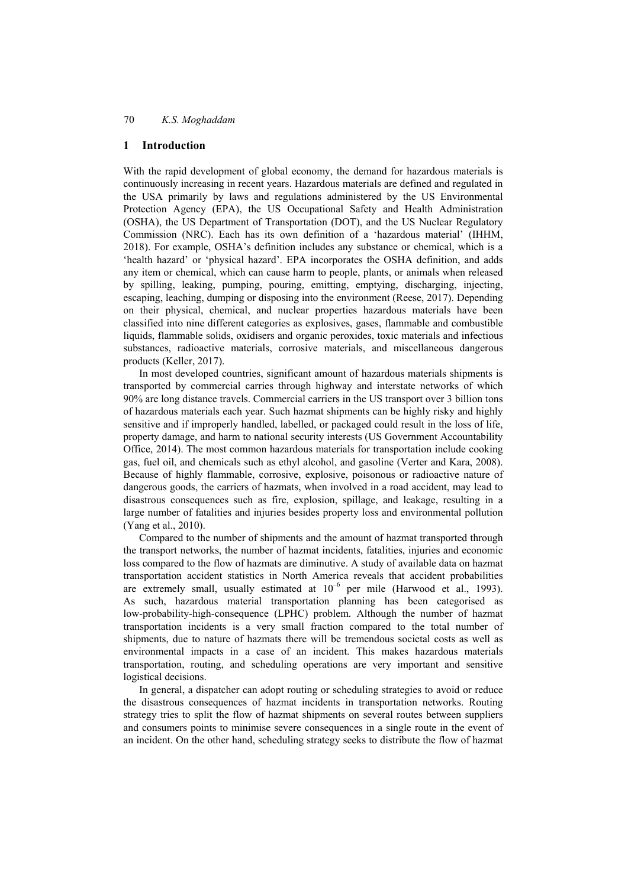### **1 Introduction**

With the rapid development of global economy, the demand for hazardous materials is continuously increasing in recent years. Hazardous materials are defined and regulated in the USA primarily by laws and regulations administered by the US Environmental Protection Agency (EPA), the US Occupational Safety and Health Administration (OSHA), the US Department of Transportation (DOT), and the US Nuclear Regulatory Commission (NRC). Each has its own definition of a 'hazardous material' (IHHM, 2018). For example, OSHA's definition includes any substance or chemical, which is a 'health hazard' or 'physical hazard'. EPA incorporates the OSHA definition, and adds any item or chemical, which can cause harm to people, plants, or animals when released by spilling, leaking, pumping, pouring, emitting, emptying, discharging, injecting, escaping, leaching, dumping or disposing into the environment (Reese, 2017). Depending on their physical, chemical, and nuclear properties hazardous materials have been classified into nine different categories as explosives, gases, flammable and combustible liquids, flammable solids, oxidisers and organic peroxides, toxic materials and infectious substances, radioactive materials, corrosive materials, and miscellaneous dangerous products (Keller, 2017).

In most developed countries, significant amount of hazardous materials shipments is transported by commercial carries through highway and interstate networks of which 90% are long distance travels. Commercial carriers in the US transport over 3 billion tons of hazardous materials each year. Such hazmat shipments can be highly risky and highly sensitive and if improperly handled, labelled, or packaged could result in the loss of life, property damage, and harm to national security interests (US Government Accountability Office, 2014). The most common hazardous materials for transportation include cooking gas, fuel oil, and chemicals such as ethyl alcohol, and gasoline (Verter and Kara, 2008). Because of highly flammable, corrosive, explosive, poisonous or radioactive nature of dangerous goods, the carriers of hazmats, when involved in a road accident, may lead to disastrous consequences such as fire, explosion, spillage, and leakage, resulting in a large number of fatalities and injuries besides property loss and environmental pollution (Yang et al., 2010).

Compared to the number of shipments and the amount of hazmat transported through the transport networks, the number of hazmat incidents, fatalities, injuries and economic loss compared to the flow of hazmats are diminutive. A study of available data on hazmat transportation accident statistics in North America reveals that accident probabilities are extremely small, usually estimated at  $10^{-6}$  per mile (Harwood et al., 1993). As such, hazardous material transportation planning has been categorised as low-probability-high-consequence (LPHC) problem. Although the number of hazmat transportation incidents is a very small fraction compared to the total number of shipments, due to nature of hazmats there will be tremendous societal costs as well as environmental impacts in a case of an incident. This makes hazardous materials transportation, routing, and scheduling operations are very important and sensitive logistical decisions.

In general, a dispatcher can adopt routing or scheduling strategies to avoid or reduce the disastrous consequences of hazmat incidents in transportation networks. Routing strategy tries to split the flow of hazmat shipments on several routes between suppliers and consumers points to minimise severe consequences in a single route in the event of an incident. On the other hand, scheduling strategy seeks to distribute the flow of hazmat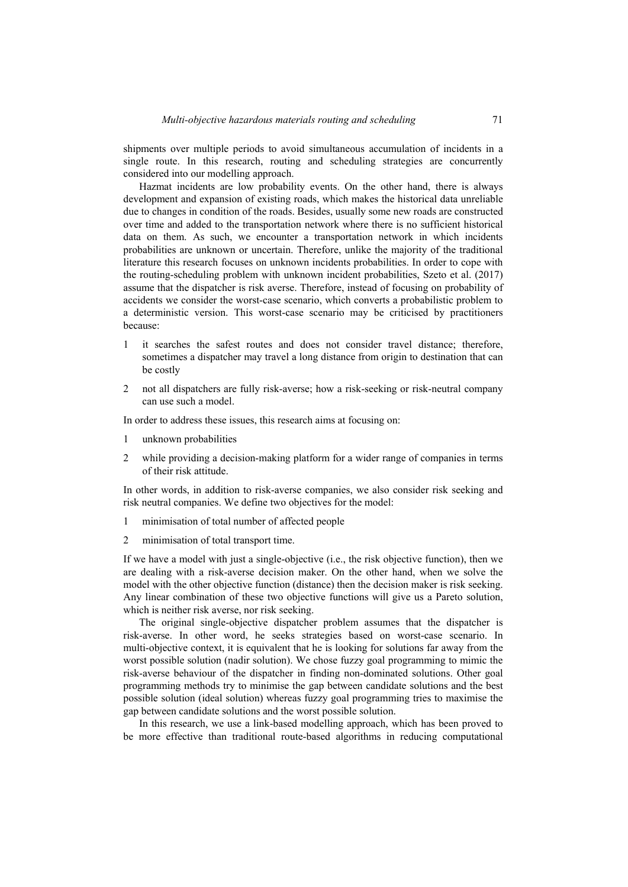shipments over multiple periods to avoid simultaneous accumulation of incidents in a single route. In this research, routing and scheduling strategies are concurrently considered into our modelling approach.

Hazmat incidents are low probability events. On the other hand, there is always development and expansion of existing roads, which makes the historical data unreliable due to changes in condition of the roads. Besides, usually some new roads are constructed over time and added to the transportation network where there is no sufficient historical data on them. As such, we encounter a transportation network in which incidents probabilities are unknown or uncertain. Therefore, unlike the majority of the traditional literature this research focuses on unknown incidents probabilities. In order to cope with the routing-scheduling problem with unknown incident probabilities, Szeto et al. (2017) assume that the dispatcher is risk averse. Therefore, instead of focusing on probability of accidents we consider the worst-case scenario, which converts a probabilistic problem to a deterministic version. This worst-case scenario may be criticised by practitioners because:

- 1 it searches the safest routes and does not consider travel distance; therefore, sometimes a dispatcher may travel a long distance from origin to destination that can be costly
- 2 not all dispatchers are fully risk-averse; how a risk-seeking or risk-neutral company can use such a model.

In order to address these issues, this research aims at focusing on:

- 1 unknown probabilities
- 2 while providing a decision-making platform for a wider range of companies in terms of their risk attitude.

In other words, in addition to risk-averse companies, we also consider risk seeking and risk neutral companies. We define two objectives for the model:

- 1 minimisation of total number of affected people
- 2 minimisation of total transport time.

If we have a model with just a single-objective (i.e., the risk objective function), then we are dealing with a risk-averse decision maker. On the other hand, when we solve the model with the other objective function (distance) then the decision maker is risk seeking. Any linear combination of these two objective functions will give us a Pareto solution, which is neither risk averse, nor risk seeking.

The original single-objective dispatcher problem assumes that the dispatcher is risk-averse. In other word, he seeks strategies based on worst-case scenario. In multi-objective context, it is equivalent that he is looking for solutions far away from the worst possible solution (nadir solution). We chose fuzzy goal programming to mimic the risk-averse behaviour of the dispatcher in finding non-dominated solutions. Other goal programming methods try to minimise the gap between candidate solutions and the best possible solution (ideal solution) whereas fuzzy goal programming tries to maximise the gap between candidate solutions and the worst possible solution.

In this research, we use a link-based modelling approach, which has been proved to be more effective than traditional route-based algorithms in reducing computational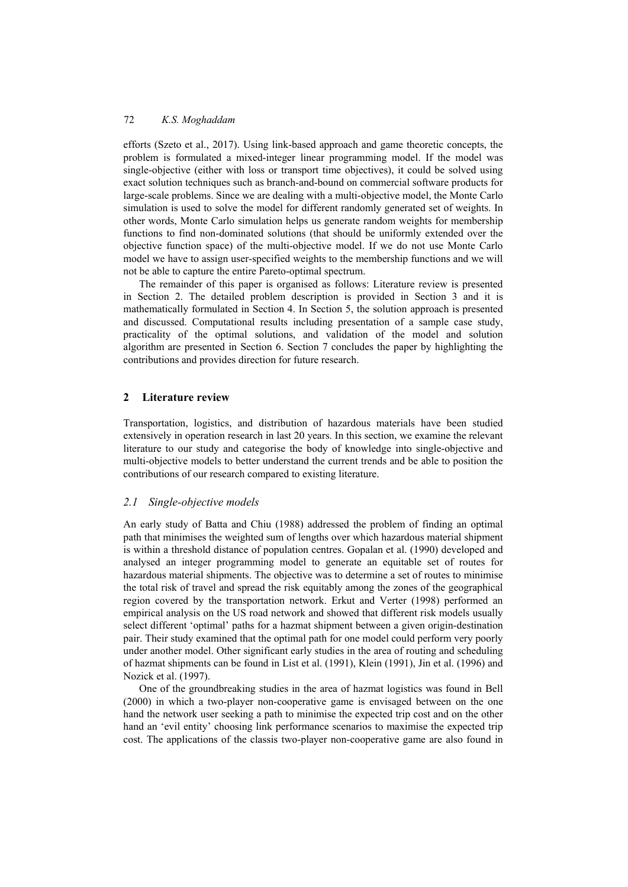efforts (Szeto et al., 2017). Using link-based approach and game theoretic concepts, the problem is formulated a mixed-integer linear programming model. If the model was single-objective (either with loss or transport time objectives), it could be solved using exact solution techniques such as branch-and-bound on commercial software products for large-scale problems. Since we are dealing with a multi-objective model, the Monte Carlo simulation is used to solve the model for different randomly generated set of weights. In other words, Monte Carlo simulation helps us generate random weights for membership functions to find non-dominated solutions (that should be uniformly extended over the objective function space) of the multi-objective model. If we do not use Monte Carlo model we have to assign user-specified weights to the membership functions and we will not be able to capture the entire Pareto-optimal spectrum.

The remainder of this paper is organised as follows: Literature review is presented in Section 2. The detailed problem description is provided in Section 3 and it is mathematically formulated in Section 4. In Section 5, the solution approach is presented and discussed. Computational results including presentation of a sample case study, practicality of the optimal solutions, and validation of the model and solution algorithm are presented in Section 6. Section 7 concludes the paper by highlighting the contributions and provides direction for future research.

## **2 Literature review**

Transportation, logistics, and distribution of hazardous materials have been studied extensively in operation research in last 20 years. In this section, we examine the relevant literature to our study and categorise the body of knowledge into single-objective and multi-objective models to better understand the current trends and be able to position the contributions of our research compared to existing literature.

## *2.1 Single-objective models*

An early study of Batta and Chiu (1988) addressed the problem of finding an optimal path that minimises the weighted sum of lengths over which hazardous material shipment is within a threshold distance of population centres. Gopalan et al. (1990) developed and analysed an integer programming model to generate an equitable set of routes for hazardous material shipments. The objective was to determine a set of routes to minimise the total risk of travel and spread the risk equitably among the zones of the geographical region covered by the transportation network. Erkut and Verter (1998) performed an empirical analysis on the US road network and showed that different risk models usually select different 'optimal' paths for a hazmat shipment between a given origin-destination pair. Their study examined that the optimal path for one model could perform very poorly under another model. Other significant early studies in the area of routing and scheduling of hazmat shipments can be found in List et al. (1991), Klein (1991), Jin et al. (1996) and Nozick et al. (1997).

One of the groundbreaking studies in the area of hazmat logistics was found in Bell (2000) in which a two-player non-cooperative game is envisaged between on the one hand the network user seeking a path to minimise the expected trip cost and on the other hand an 'evil entity' choosing link performance scenarios to maximise the expected trip cost. The applications of the classis two-player non-cooperative game are also found in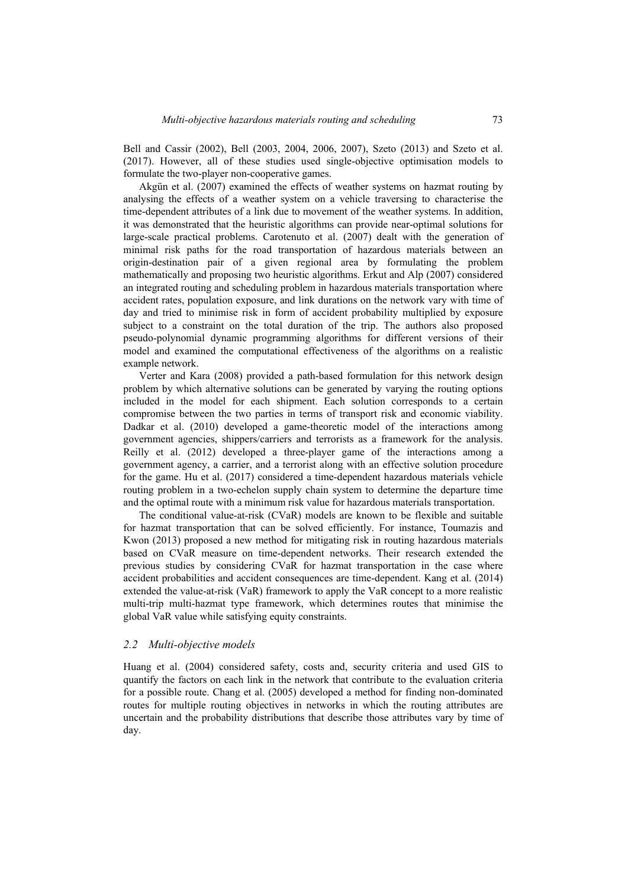Bell and Cassir (2002), Bell (2003, 2004, 2006, 2007), Szeto (2013) and Szeto et al. (2017). However, all of these studies used single-objective optimisation models to formulate the two-player non-cooperative games.

Akgün et al. (2007) examined the effects of weather systems on hazmat routing by analysing the effects of a weather system on a vehicle traversing to characterise the time-dependent attributes of a link due to movement of the weather systems. In addition, it was demonstrated that the heuristic algorithms can provide near-optimal solutions for large-scale practical problems. Carotenuto et al. (2007) dealt with the generation of minimal risk paths for the road transportation of hazardous materials between an origin-destination pair of a given regional area by formulating the problem mathematically and proposing two heuristic algorithms. Erkut and Alp (2007) considered an integrated routing and scheduling problem in hazardous materials transportation where accident rates, population exposure, and link durations on the network vary with time of day and tried to minimise risk in form of accident probability multiplied by exposure subject to a constraint on the total duration of the trip. The authors also proposed pseudo-polynomial dynamic programming algorithms for different versions of their model and examined the computational effectiveness of the algorithms on a realistic example network.

Verter and Kara (2008) provided a path-based formulation for this network design problem by which alternative solutions can be generated by varying the routing options included in the model for each shipment. Each solution corresponds to a certain compromise between the two parties in terms of transport risk and economic viability. Dadkar et al. (2010) developed a game-theoretic model of the interactions among government agencies, shippers/carriers and terrorists as a framework for the analysis. Reilly et al. (2012) developed a three-player game of the interactions among a government agency, a carrier, and a terrorist along with an effective solution procedure for the game. Hu et al. (2017) considered a time-dependent hazardous materials vehicle routing problem in a two-echelon supply chain system to determine the departure time and the optimal route with a minimum risk value for hazardous materials transportation.

The conditional value-at-risk (CVaR) models are known to be flexible and suitable for hazmat transportation that can be solved efficiently. For instance, Toumazis and Kwon (2013) proposed a new method for mitigating risk in routing hazardous materials based on CVaR measure on time-dependent networks. Their research extended the previous studies by considering CVaR for hazmat transportation in the case where accident probabilities and accident consequences are time-dependent. Kang et al. (2014) extended the value-at-risk (VaR) framework to apply the VaR concept to a more realistic multi-trip multi-hazmat type framework, which determines routes that minimise the global VaR value while satisfying equity constraints.

#### *2.2 Multi-objective models*

Huang et al. (2004) considered safety, costs and, security criteria and used GIS to quantify the factors on each link in the network that contribute to the evaluation criteria for a possible route. Chang et al. (2005) developed a method for finding non-dominated routes for multiple routing objectives in networks in which the routing attributes are uncertain and the probability distributions that describe those attributes vary by time of day.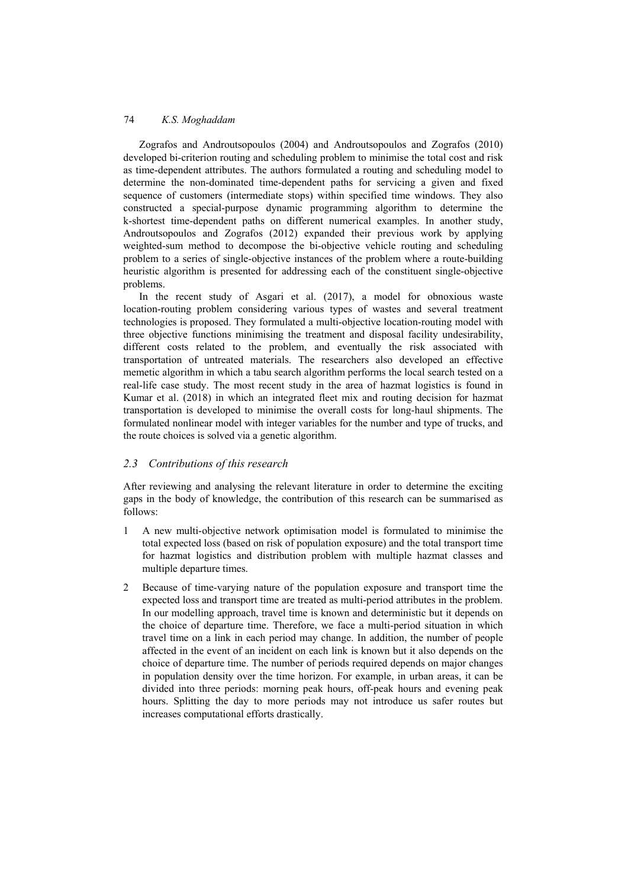Zografos and Androutsopoulos (2004) and Androutsopoulos and Zografos (2010) developed bi-criterion routing and scheduling problem to minimise the total cost and risk as time-dependent attributes. The authors formulated a routing and scheduling model to determine the non-dominated time-dependent paths for servicing a given and fixed sequence of customers (intermediate stops) within specified time windows. They also constructed a special-purpose dynamic programming algorithm to determine the k-shortest time-dependent paths on different numerical examples. In another study, Androutsopoulos and Zografos (2012) expanded their previous work by applying weighted-sum method to decompose the bi-objective vehicle routing and scheduling problem to a series of single-objective instances of the problem where a route-building heuristic algorithm is presented for addressing each of the constituent single-objective problems.

In the recent study of Asgari et al. (2017), a model for obnoxious waste location-routing problem considering various types of wastes and several treatment technologies is proposed. They formulated a multi-objective location-routing model with three objective functions minimising the treatment and disposal facility undesirability, different costs related to the problem, and eventually the risk associated with transportation of untreated materials. The researchers also developed an effective memetic algorithm in which a tabu search algorithm performs the local search tested on a real-life case study. The most recent study in the area of hazmat logistics is found in Kumar et al. (2018) in which an integrated fleet mix and routing decision for hazmat transportation is developed to minimise the overall costs for long-haul shipments. The formulated nonlinear model with integer variables for the number and type of trucks, and the route choices is solved via a genetic algorithm.

### *2.3 Contributions of this research*

After reviewing and analysing the relevant literature in order to determine the exciting gaps in the body of knowledge, the contribution of this research can be summarised as follows:

- 1 A new multi-objective network optimisation model is formulated to minimise the total expected loss (based on risk of population exposure) and the total transport time for hazmat logistics and distribution problem with multiple hazmat classes and multiple departure times.
- 2 Because of time-varying nature of the population exposure and transport time the expected loss and transport time are treated as multi-period attributes in the problem. In our modelling approach, travel time is known and deterministic but it depends on the choice of departure time. Therefore, we face a multi-period situation in which travel time on a link in each period may change. In addition, the number of people affected in the event of an incident on each link is known but it also depends on the choice of departure time. The number of periods required depends on major changes in population density over the time horizon. For example, in urban areas, it can be divided into three periods: morning peak hours, off-peak hours and evening peak hours. Splitting the day to more periods may not introduce us safer routes but increases computational efforts drastically.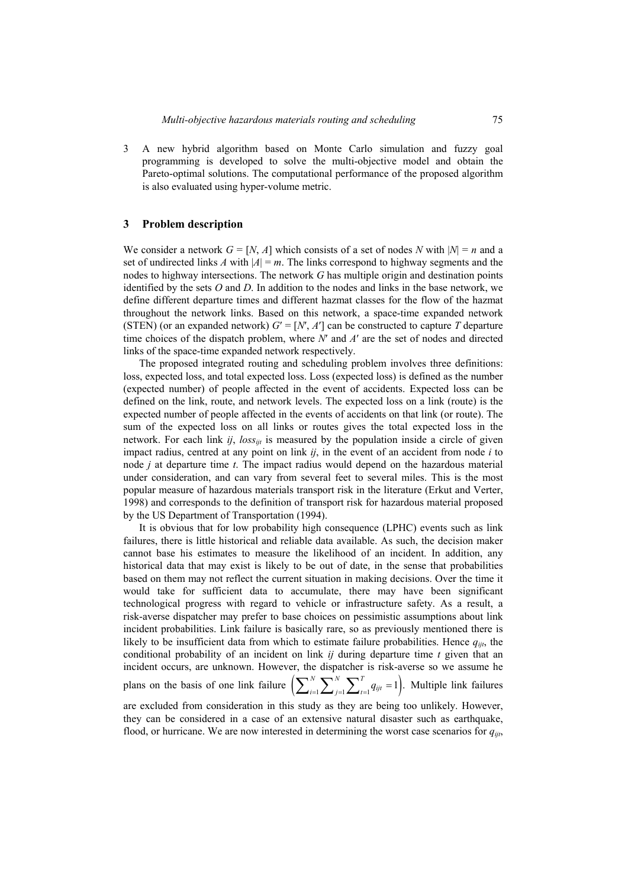3 A new hybrid algorithm based on Monte Carlo simulation and fuzzy goal programming is developed to solve the multi-objective model and obtain the Pareto-optimal solutions. The computational performance of the proposed algorithm is also evaluated using hyper-volume metric.

#### **3 Problem description**

We consider a network  $G = [N, A]$  which consists of a set of nodes N with  $|N| = n$  and a set of undirected links *A* with  $|A| = m$ . The links correspond to highway segments and the nodes to highway intersections. The network *G* has multiple origin and destination points identified by the sets *O* and *D*. In addition to the nodes and links in the base network, we define different departure times and different hazmat classes for the flow of the hazmat throughout the network links. Based on this network, a space-time expanded network (STEN) (or an expanded network)  $G' = [N', A']$  can be constructed to capture *T* departure time choices of the dispatch problem, where *N*′ and *A*′ are the set of nodes and directed links of the space-time expanded network respectively.

The proposed integrated routing and scheduling problem involves three definitions: loss, expected loss, and total expected loss. Loss (expected loss) is defined as the number (expected number) of people affected in the event of accidents. Expected loss can be defined on the link, route, and network levels. The expected loss on a link (route) is the expected number of people affected in the events of accidents on that link (or route). The sum of the expected loss on all links or routes gives the total expected loss in the network. For each link *ij*, *loss<sub>iti</sub>* is measured by the population inside a circle of given impact radius, centred at any point on link *ij*, in the event of an accident from node *i* to node *j* at departure time *t*. The impact radius would depend on the hazardous material under consideration, and can vary from several feet to several miles. This is the most popular measure of hazardous materials transport risk in the literature (Erkut and Verter, 1998) and corresponds to the definition of transport risk for hazardous material proposed by the US Department of Transportation (1994).

It is obvious that for low probability high consequence (LPHC) events such as link failures, there is little historical and reliable data available. As such, the decision maker cannot base his estimates to measure the likelihood of an incident. In addition, any historical data that may exist is likely to be out of date, in the sense that probabilities based on them may not reflect the current situation in making decisions. Over the time it would take for sufficient data to accumulate, there may have been significant technological progress with regard to vehicle or infrastructure safety. As a result, a risk-averse dispatcher may prefer to base choices on pessimistic assumptions about link incident probabilities. Link failure is basically rare, so as previously mentioned there is likely to be insufficient data from which to estimate failure probabilities. Hence  $q_{ijt}$ , the conditional probability of an incident on link *ij* during departure time *t* given that an incident occurs, are unknown. However, the dispatcher is risk-averse so we assume he plans on the basis of one link failure  $\left( \sum_{i=1}^{N} \sum_{j=1}^{N} \sum_{t=1}^{T} q_{ijt} = 1 \right)$ . Multiple link failures are excluded from consideration in this study as they are being too unlikely. However, they can be considered in a case of an extensive natural disaster such as earthquake,

flood, or hurricane. We are now interested in determining the worst case scenarios for *qijt*,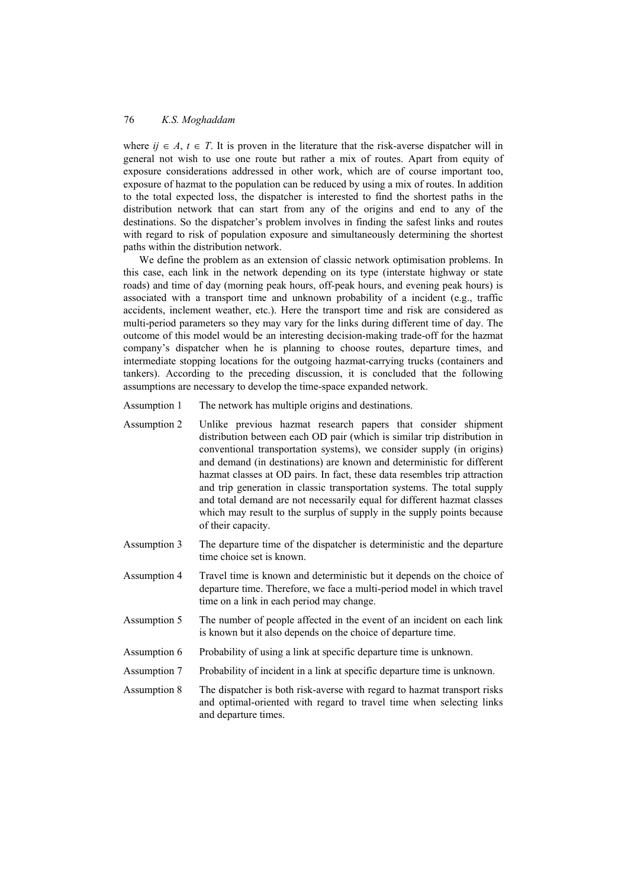where  $i \in A$ ,  $t \in T$ . It is proven in the literature that the risk-averse dispatcher will in general not wish to use one route but rather a mix of routes. Apart from equity of exposure considerations addressed in other work, which are of course important too, exposure of hazmat to the population can be reduced by using a mix of routes. In addition to the total expected loss, the dispatcher is interested to find the shortest paths in the distribution network that can start from any of the origins and end to any of the destinations. So the dispatcher's problem involves in finding the safest links and routes with regard to risk of population exposure and simultaneously determining the shortest paths within the distribution network.

We define the problem as an extension of classic network optimisation problems. In this case, each link in the network depending on its type (interstate highway or state roads) and time of day (morning peak hours, off-peak hours, and evening peak hours) is associated with a transport time and unknown probability of a incident (e.g., traffic accidents, inclement weather, etc.). Here the transport time and risk are considered as multi-period parameters so they may vary for the links during different time of day. The outcome of this model would be an interesting decision-making trade-off for the hazmat company's dispatcher when he is planning to choose routes, departure times, and intermediate stopping locations for the outgoing hazmat-carrying trucks (containers and tankers). According to the preceding discussion, it is concluded that the following assumptions are necessary to develop the time-space expanded network.

- Assumption 1 The network has multiple origins and destinations.
- Assumption 2 Unlike previous hazmat research papers that consider shipment distribution between each OD pair (which is similar trip distribution in conventional transportation systems), we consider supply (in origins) and demand (in destinations) are known and deterministic for different hazmat classes at OD pairs. In fact, these data resembles trip attraction and trip generation in classic transportation systems. The total supply and total demand are not necessarily equal for different hazmat classes which may result to the surplus of supply in the supply points because of their capacity.
- Assumption 3 The departure time of the dispatcher is deterministic and the departure time choice set is known.
- Assumption 4 Travel time is known and deterministic but it depends on the choice of departure time. Therefore, we face a multi-period model in which travel time on a link in each period may change.
- Assumption 5 The number of people affected in the event of an incident on each link is known but it also depends on the choice of departure time.
- Assumption 6 Probability of using a link at specific departure time is unknown.
- Assumption 7 Probability of incident in a link at specific departure time is unknown.
- Assumption 8 The dispatcher is both risk-averse with regard to hazmat transport risks and optimal-oriented with regard to travel time when selecting links and departure times.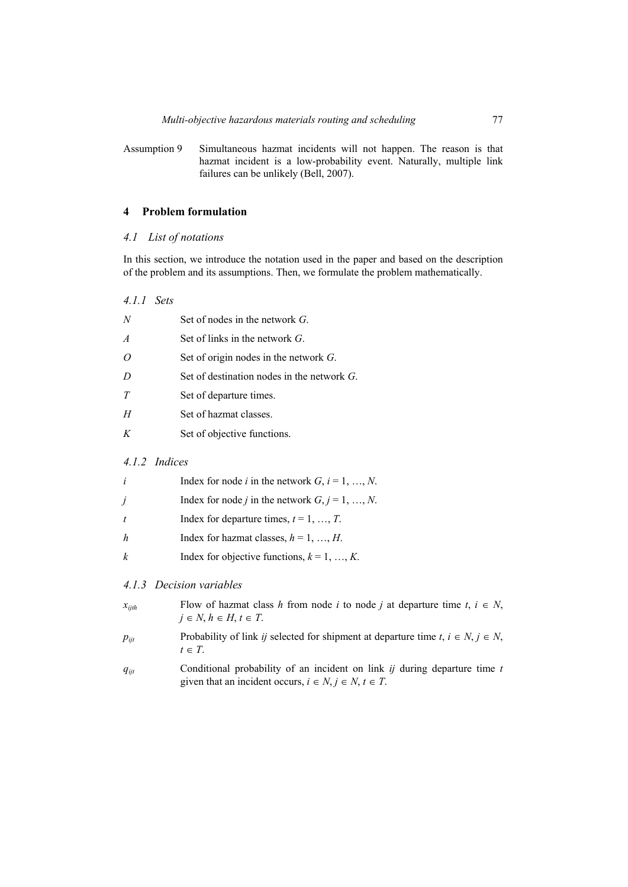Assumption 9 Simultaneous hazmat incidents will not happen. The reason is that hazmat incident is a low-probability event. Naturally, multiple link failures can be unlikely (Bell, 2007).

### **4 Problem formulation**

### *4.1 List of notations*

In this section, we introduce the notation used in the paper and based on the description of the problem and its assumptions. Then, we formulate the problem mathematically.

*4.1.1 Sets* 

| N              | Set of nodes in the network $G$ .             |
|----------------|-----------------------------------------------|
| $\overline{A}$ | Set of links in the network $G$ .             |
| $\Omega$       | Set of origin nodes in the network $G$ .      |
| D              | Set of destination nodes in the network $G$ . |
| T              | Set of departure times.                       |
| H              | Set of hazmat classes.                        |
| K              | Set of objective functions.                   |
|                |                                               |

#### *4.1.2 Indices*

| i | Index for node <i>i</i> in the network $G$ , $i = 1, , N$ . |
|---|-------------------------------------------------------------|
| Ĵ | Index for node <i>j</i> in the network $G, j = 1, , N$ .    |
|   | Index for departure times, $t = 1, , T$ .                   |
| h | Index for hazmat classes, $h = 1, , H$ .                    |
| k | Index for objective functions, $k = 1, , K$ .               |

### *4.1.3 Decision variables*

| $x_{ijth}$ | Flow of hazmat class h from node i to node j at departure time $t, i \in N$ , |
|------------|-------------------------------------------------------------------------------|
|            | $j \in N$ , $h \in H$ , $t \in T$ .                                           |

- *p<sub>ijt</sub>* Probability of link *ij* selected for shipment at departure time  $t, i \in N, j \in N$ ,  $t \in T$ .
- *qijt* Conditional probability of an incident on link *ij* during departure time *t* given that an incident occurs,  $i \in N$ ,  $j \in N$ ,  $t \in T$ .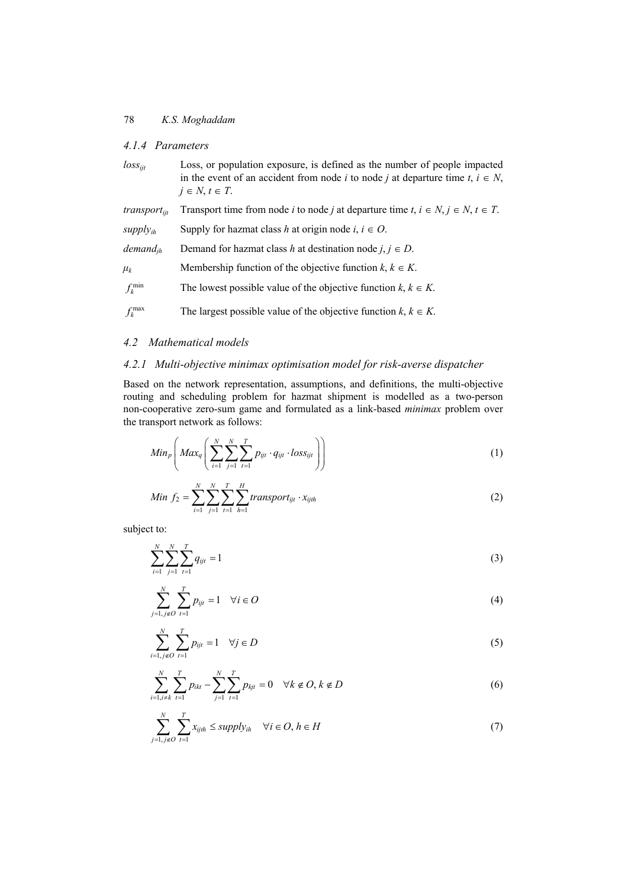### *4.1.4 Parameters*

*loss<sub>ijt</sub>* Loss, or population exposure, is defined as the number of people impacted in the event of an accident from node *i* to node *j* at departure time  $t, i \in N$ ,  $j \in N$ ,  $t \in T$ .

| $transport_{\text{fit}}$ | Transport time from node <i>i</i> to node <i>j</i> at departure time $t, i \in N, j \in N, t \in T$ . |
|--------------------------|-------------------------------------------------------------------------------------------------------|
| $supply_{ih}$            | Supply for hazmat class h at origin node i, $i \in O$ .                                               |
| demand <sub>ih</sub>     | Demand for hazmat class h at destination node j, $j \in D$ .                                          |
| $\mu_k$                  | Membership function of the objective function $k, k \in K$ .                                          |
| $f_k^{\min}$             | The lowest possible value of the objective function $k, k \in K$ .                                    |
| $f_k^{\max}$             | The largest possible value of the objective function $k, k \in K$ .                                   |

### *4.2 Mathematical models*

# *4.2.1 Multi-objective minimax optimisation model for risk-averse dispatcher*

Based on the network representation, assumptions, and definitions, the multi-objective routing and scheduling problem for hazmat shipment is modelled as a two-person non-cooperative zero-sum game and formulated as a link-based *minimax* problem over the transport network as follows:

$$
Min_p\left(Max_q\left(\sum_{i=1}^N\sum_{j=1}^N\sum_{t=1}^Tp_{ijt}\cdot q_{ijt}\cdot loss_{ijt}\right)\right)
$$
 (1)

Min 
$$
f_2 = \sum_{i=1}^{N} \sum_{j=1}^{N} \sum_{t=1}^{T} \sum_{h=1}^{H} transport_{ijt} \cdot x_{ijth}
$$
 (2)

subject to:

$$
\sum_{i=1}^{N} \sum_{j=1}^{N} \sum_{t=1}^{T} q_{ijt} = 1
$$
\n(3)

$$
\sum_{j=1, j \notin O}^{N} \sum_{t=1}^{T} p_{ijt} = 1 \quad \forall i \in O
$$
 (4)

$$
\sum_{i=1, j \notin O}^{N} \sum_{t=1}^{T} p_{ijt} = 1 \quad \forall j \in D
$$
 (5)

$$
\sum_{i=1, i \neq k}^{N} \sum_{t=1}^{T} p_{ikt} - \sum_{j=1}^{N} \sum_{t=1}^{T} p_{kjt} = 0 \quad \forall k \notin O, k \notin D
$$
 (6)

$$
\sum_{j=1, j \notin O}^{N} \sum_{t=1}^{T} x_{ijth} \le \text{supply}_{ih} \quad \forall i \in O, h \in H
$$
\n
$$
(7)
$$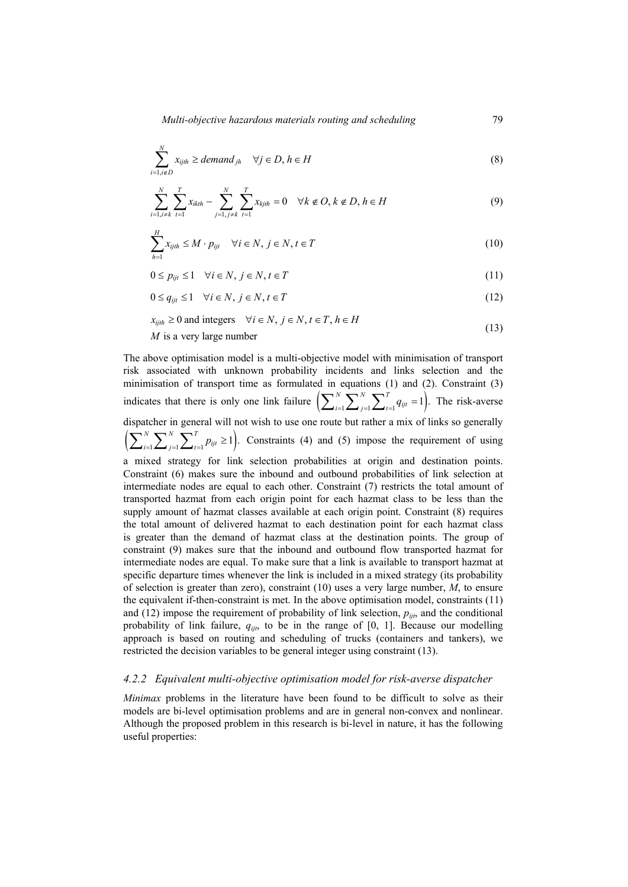$$
\sum_{i=1, i \notin D}^{N} x_{ijth} \geq demand_{jh} \quad \forall j \in D, h \in H
$$
\n(8)

$$
\sum_{i=1, i \neq k}^{N} \sum_{t=1}^{T} x_{ikth} - \sum_{j=1, j \neq k}^{N} \sum_{t=1}^{T} x_{kjth} = 0 \quad \forall k \notin O, k \notin D, h \in H
$$
\n(9)

$$
\sum_{h=1}^{H} x_{ijth} \le M \cdot p_{ijt} \quad \forall i \in N, j \in N, t \in T
$$
\n(10)

$$
0 \le p_{ijt} \le 1 \quad \forall i \in N, j \in N, t \in T
$$
\n
$$
(11)
$$

$$
0 \le q_{ijt} \le 1 \quad \forall i \in N, j \in N, t \in T
$$
\n
$$
(12)
$$

$$
x_{ijth} \ge 0 \text{ and integers } \forall i \in N, j \in N, t \in T, h \in H
$$
  
*M* is a very large number (13)

The above optimisation model is a multi-objective model with minimisation of transport risk associated with unknown probability incidents and links selection and the minimisation of transport time as formulated in equations (1) and (2). Constraint (3) indicates that there is only one link failure  $\left( \sum_{i=1}^{N} \sum_{j=1}^{N} \sum_{t=1}^{T} q_{ijt} = 1 \right)$ . The risk-averse dispatcher in general will not wish to use one route but rather a mix of links so generally  $\left(\sum_{i=1}^{N} \sum_{j=1}^{N} \sum_{t=1}^{T} p_{ijt} \ge 1\right)$ . Constraints (4) and (5) impose the requirement of using a mixed strategy for link selection probabilities at origin and destination points. Constraint (6) makes sure the inbound and outbound probabilities of link selection at intermediate nodes are equal to each other. Constraint (7) restricts the total amount of transported hazmat from each origin point for each hazmat class to be less than the supply amount of hazmat classes available at each origin point. Constraint (8) requires the total amount of delivered hazmat to each destination point for each hazmat class is greater than the demand of hazmat class at the destination points. The group of constraint (9) makes sure that the inbound and outbound flow transported hazmat for intermediate nodes are equal. To make sure that a link is available to transport hazmat at specific departure times whenever the link is included in a mixed strategy (its probability of selection is greater than zero), constraint (10) uses a very large number, *M*, to ensure the equivalent if-then-constraint is met. In the above optimisation model, constraints (11) and  $(12)$  impose the requirement of probability of link selection,  $p_{ijt}$ , and the conditional probability of link failure, *qijt*, to be in the range of [0, 1]. Because our modelling approach is based on routing and scheduling of trucks (containers and tankers), we restricted the decision variables to be general integer using constraint (13).

#### *4.2.2 Equivalent multi-objective optimisation model for risk-averse dispatcher*

*Minimax* problems in the literature have been found to be difficult to solve as their models are bi-level optimisation problems and are in general non-convex and nonlinear. Although the proposed problem in this research is bi-level in nature, it has the following useful properties: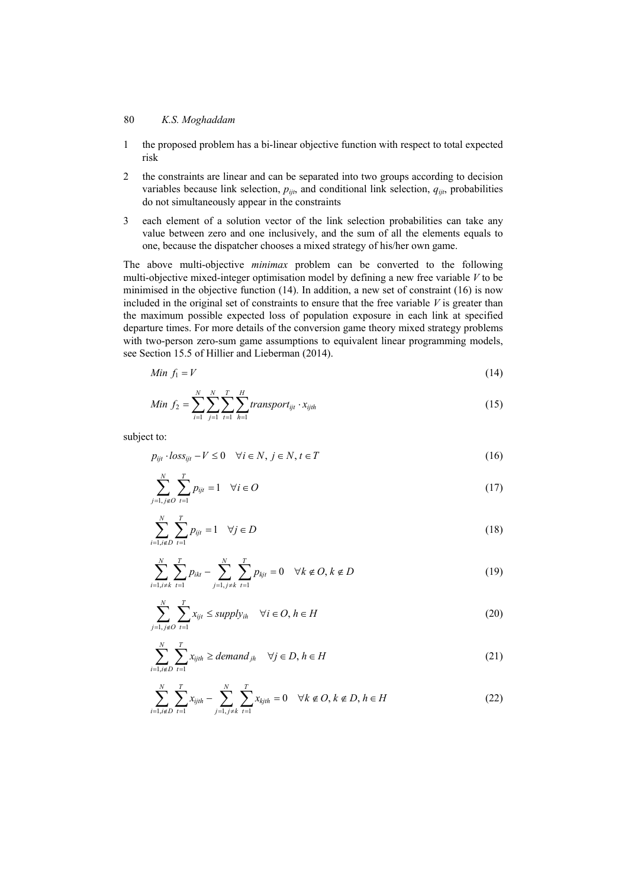- 1 the proposed problem has a bi-linear objective function with respect to total expected risk
- 2 the constraints are linear and can be separated into two groups according to decision variables because link selection,  $p_{ijt}$ , and conditional link selection,  $q_{ijt}$ , probabilities do not simultaneously appear in the constraints
- 3 each element of a solution vector of the link selection probabilities can take any value between zero and one inclusively, and the sum of all the elements equals to one, because the dispatcher chooses a mixed strategy of his/her own game.

The above multi-objective *minimax* problem can be converted to the following multi-objective mixed-integer optimisation model by defining a new free variable *V* to be minimised in the objective function  $(14)$ . In addition, a new set of constraint  $(16)$  is now included in the original set of constraints to ensure that the free variable  $V$  is greater than the maximum possible expected loss of population exposure in each link at specified departure times. For more details of the conversion game theory mixed strategy problems with two-person zero-sum game assumptions to equivalent linear programming models, see Section 15.5 of Hillier and Lieberman (2014).

$$
Min f_1 = V \tag{14}
$$

Min 
$$
f_2 = \sum_{i=1}^{N} \sum_{j=1}^{N} \sum_{t=1}^{T} \sum_{h=1}^{H} transport_{ijt} \cdot x_{ijth}
$$
 (15)

subject to:

$$
p_{ijt} \cdot loss_{ijt} - V \le 0 \quad \forall i \in N, j \in N, t \in T
$$
\n
$$
(16)
$$

$$
\sum_{j=1, j \notin O}^{N} \sum_{t=1}^{T} p_{ijt} = 1 \quad \forall i \in O
$$
\n
$$
(17)
$$

$$
\sum_{i=1, i \notin D}^{N} \sum_{t=1}^{T} p_{ijt} = 1 \quad \forall j \in D
$$
 (18)

$$
\sum_{i=1, i \neq k}^{N} \sum_{t=1}^{T} p_{ikt} - \sum_{j=1, j \neq k}^{N} \sum_{t=1}^{T} p_{kjt} = 0 \quad \forall k \notin O, k \notin D
$$
 (19)

$$
\sum_{j=1, j \notin O}^{N} \sum_{t=1}^{T} x_{ijt} \le \text{supply}_{ih} \quad \forall i \in O, h \in H
$$
\n(20)

$$
\sum_{i=1, i \notin D}^{N} \sum_{t=1}^{T} x_{ijth} \geq demand_{jh} \quad \forall j \in D, h \in H
$$
\n(21)

$$
\sum_{i=1, i \notin D}^{N} \sum_{t=1}^{T} x_{ijth} - \sum_{j=1, j \neq k}^{N} \sum_{t=1}^{T} x_{kjth} = 0 \quad \forall k \notin D, k \notin D, h \in H
$$
\n(22)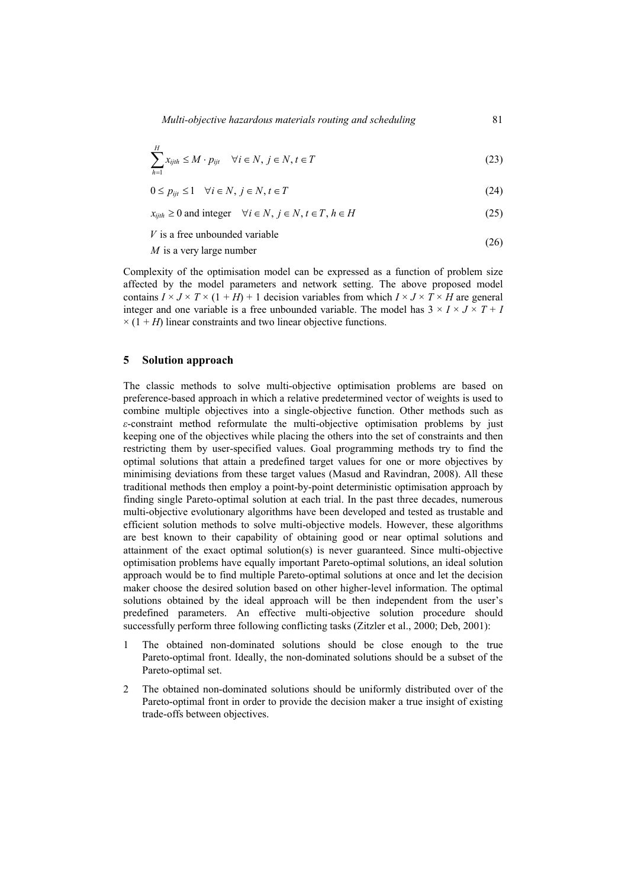$$
\sum_{h=1}^{H} x_{ijth} \le M \cdot p_{ijt} \quad \forall i \in N, j \in N, t \in T
$$
\n(23)

$$
0 \le p_{ijt} \le 1 \quad \forall i \in N, j \in N, t \in T
$$
\n
$$
(24)
$$

 $x_{iith} \ge 0$  and integer  $\forall i \in N, j \in N, t \in T, h \in H$  (25)

 $V$  is a free unbounded variable

 $M$  is a very large number  $(26)$ 

Complexity of the optimisation model can be expressed as a function of problem size affected by the model parameters and network setting. The above proposed model contains  $I \times J \times T \times (1 + H) + 1$  decision variables from which  $I \times J \times T \times H$  are general integer and one variable is a free unbounded variable. The model has  $3 \times I \times J \times T + I$  $\times$  (1 + *H*) linear constraints and two linear objective functions.

### **5 Solution approach**

The classic methods to solve multi-objective optimisation problems are based on preference-based approach in which a relative predetermined vector of weights is used to combine multiple objectives into a single-objective function. Other methods such as *ε*-constraint method reformulate the multi-objective optimisation problems by just keeping one of the objectives while placing the others into the set of constraints and then restricting them by user-specified values. Goal programming methods try to find the optimal solutions that attain a predefined target values for one or more objectives by minimising deviations from these target values (Masud and Ravindran, 2008). All these traditional methods then employ a point-by-point deterministic optimisation approach by finding single Pareto-optimal solution at each trial. In the past three decades, numerous multi-objective evolutionary algorithms have been developed and tested as trustable and efficient solution methods to solve multi-objective models. However, these algorithms are best known to their capability of obtaining good or near optimal solutions and attainment of the exact optimal solution(s) is never guaranteed. Since multi-objective optimisation problems have equally important Pareto-optimal solutions, an ideal solution approach would be to find multiple Pareto-optimal solutions at once and let the decision maker choose the desired solution based on other higher-level information. The optimal solutions obtained by the ideal approach will be then independent from the user's predefined parameters. An effective multi-objective solution procedure should successfully perform three following conflicting tasks (Zitzler et al., 2000; Deb, 2001):

- 1 The obtained non-dominated solutions should be close enough to the true Pareto-optimal front. Ideally, the non-dominated solutions should be a subset of the Pareto-optimal set.
- 2 The obtained non-dominated solutions should be uniformly distributed over of the Pareto-optimal front in order to provide the decision maker a true insight of existing trade-offs between objectives.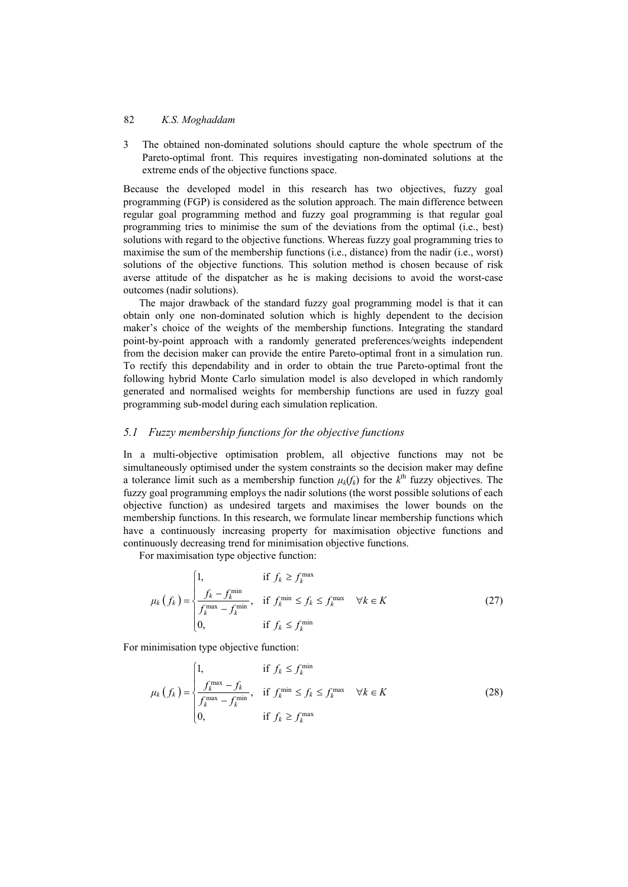3 The obtained non-dominated solutions should capture the whole spectrum of the Pareto-optimal front. This requires investigating non-dominated solutions at the extreme ends of the objective functions space.

Because the developed model in this research has two objectives, fuzzy goal programming (FGP) is considered as the solution approach. The main difference between regular goal programming method and fuzzy goal programming is that regular goal programming tries to minimise the sum of the deviations from the optimal (i.e., best) solutions with regard to the objective functions. Whereas fuzzy goal programming tries to maximise the sum of the membership functions (i.e., distance) from the nadir (i.e., worst) solutions of the objective functions. This solution method is chosen because of risk averse attitude of the dispatcher as he is making decisions to avoid the worst-case outcomes (nadir solutions).

The major drawback of the standard fuzzy goal programming model is that it can obtain only one non-dominated solution which is highly dependent to the decision maker's choice of the weights of the membership functions. Integrating the standard point-by-point approach with a randomly generated preferences/weights independent from the decision maker can provide the entire Pareto-optimal front in a simulation run. To rectify this dependability and in order to obtain the true Pareto-optimal front the following hybrid Monte Carlo simulation model is also developed in which randomly generated and normalised weights for membership functions are used in fuzzy goal programming sub-model during each simulation replication.

### *5.1 Fuzzy membership functions for the objective functions*

In a multi-objective optimisation problem, all objective functions may not be simultaneously optimised under the system constraints so the decision maker may define a tolerance limit such as a membership function  $\mu_k(f_k)$  for the  $k^{\text{th}}$  fuzzy objectives. The fuzzy goal programming employs the nadir solutions (the worst possible solutions of each objective function) as undesired targets and maximises the lower bounds on the membership functions. In this research, we formulate linear membership functions which have a continuously increasing property for maximisation objective functions and continuously decreasing trend for minimisation objective functions.

For maximisation type objective function:

$$
\mu_k(f_k) = \begin{cases}\n1, & \text{if } f_k \ge f_k^{\max} \\
\frac{f_k - f_k^{\min}}{f_k^{\max} - f_k^{\min}}, & \text{if } f_k^{\min} \le f_k \le f_k^{\max} \quad \forall k \in K \\
0, & \text{if } f_k \le f_k^{\min}\n\end{cases} \tag{27}
$$

For minimisation type objective function:

$$
\mu_k(f_k) = \begin{cases}\n1, & \text{if } f_k \le f_k^{\min} \\
\frac{f_k^{\max} - f_k}{f_k^{\max} - f_k^{\min}}, & \text{if } f_k^{\min} \le f_k \le f_k^{\max} \quad \forall k \in K \\
0, & \text{if } f_k \ge f_k^{\max}\n\end{cases}
$$
\n(28)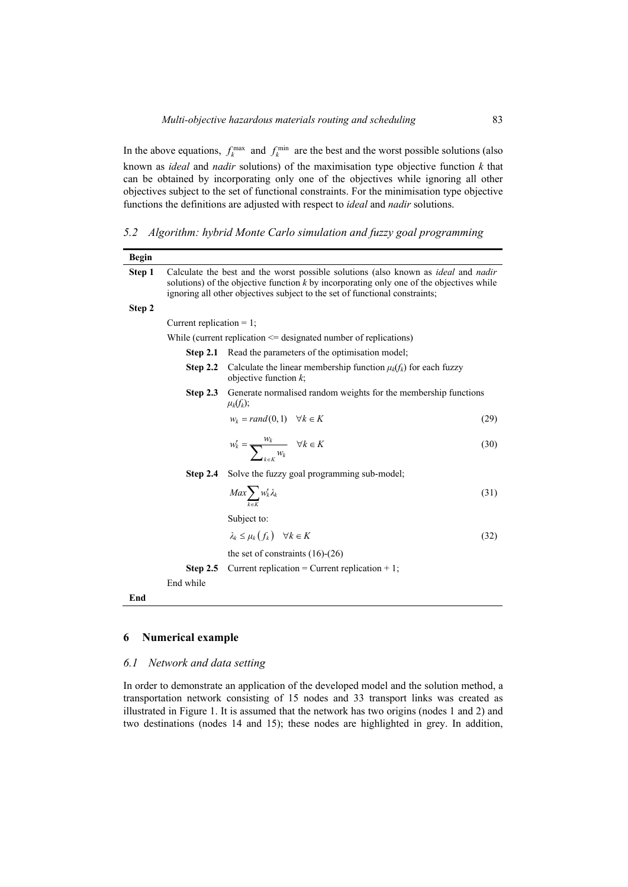In the above equations,  $f_k^{\text{max}}$  and  $f_k^{\text{min}}$  are the best and the worst possible solutions (also known as *ideal* and *nadir* solutions) of the maximisation type objective function *k* that can be obtained by incorporating only one of the objectives while ignoring all other objectives subject to the set of functional constraints. For the minimisation type objective functions the definitions are adjusted with respect to *ideal* and *nadir* solutions.

*5.2 Algorithm: hybrid Monte Carlo simulation and fuzzy goal programming* 

| Current replication $= 1$ ; | Calculate the best and the worst possible solutions (also known as ideal and nadir<br>solutions) of the objective function $k$ by incorporating only one of the objectives while<br>ignoring all other objectives subject to the set of functional constraints; |                                                                                             |
|-----------------------------|-----------------------------------------------------------------------------------------------------------------------------------------------------------------------------------------------------------------------------------------------------------------|---------------------------------------------------------------------------------------------|
|                             |                                                                                                                                                                                                                                                                 |                                                                                             |
|                             |                                                                                                                                                                                                                                                                 |                                                                                             |
|                             |                                                                                                                                                                                                                                                                 |                                                                                             |
|                             | While (current replication $\leq$ designated number of replications)                                                                                                                                                                                            |                                                                                             |
| Step 2.1                    | Read the parameters of the optimisation model;                                                                                                                                                                                                                  |                                                                                             |
| Step 2.2                    | Calculate the linear membership function $\mu_k(f_k)$ for each fuzzy<br>objective function $k$ ;                                                                                                                                                                |                                                                                             |
| Step $2.3$                  | $\mu_k(f_k);$                                                                                                                                                                                                                                                   |                                                                                             |
|                             | $w_k = rand(0, 1) \quad \forall k \in K$                                                                                                                                                                                                                        | (29)                                                                                        |
|                             | $w'_k = \frac{w_k}{\sum_{k=1}^k w_k}$ $\forall k \in K$                                                                                                                                                                                                         | (30)                                                                                        |
| Step $2.4$                  | Solve the fuzzy goal programming sub-model;                                                                                                                                                                                                                     |                                                                                             |
|                             | $Max\sum_{k} w'_k \lambda_k$                                                                                                                                                                                                                                    | (31)                                                                                        |
|                             | Subject to:                                                                                                                                                                                                                                                     |                                                                                             |
|                             | $\lambda_k \leq \mu_k(f_k) \quad \forall k \in K$                                                                                                                                                                                                               | (32)                                                                                        |
|                             | the set of constraints $(16)-(26)$                                                                                                                                                                                                                              |                                                                                             |
| Step 2.5                    | Current replication = Current replication + 1;                                                                                                                                                                                                                  |                                                                                             |
| End while                   |                                                                                                                                                                                                                                                                 |                                                                                             |
|                             |                                                                                                                                                                                                                                                                 |                                                                                             |
|                             |                                                                                                                                                                                                                                                                 |                                                                                             |
|                             |                                                                                                                                                                                                                                                                 | Generate normalised random weights for the membership functions<br><b>Numerical example</b> |

### *6.1 Network and data setting*

In order to demonstrate an application of the developed model and the solution method, a transportation network consisting of 15 nodes and 33 transport links was created as illustrated in Figure 1. It is assumed that the network has two origins (nodes 1 and 2) and two destinations (nodes 14 and 15); these nodes are highlighted in grey. In addition,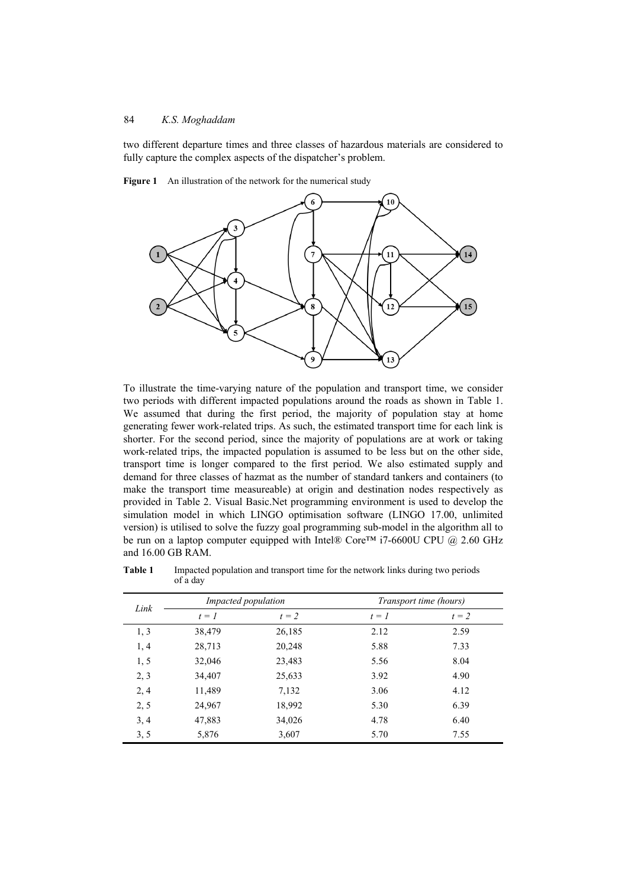two different departure times and three classes of hazardous materials are considered to fully capture the complex aspects of the dispatcher's problem.



**Figure 1** An illustration of the network for the numerical study

To illustrate the time-varying nature of the population and transport time, we consider two periods with different impacted populations around the roads as shown in Table 1. We assumed that during the first period, the majority of population stay at home generating fewer work-related trips. As such, the estimated transport time for each link is shorter. For the second period, since the majority of populations are at work or taking work-related trips, the impacted population is assumed to be less but on the other side, transport time is longer compared to the first period. We also estimated supply and demand for three classes of hazmat as the number of standard tankers and containers (to make the transport time measureable) at origin and destination nodes respectively as provided in Table 2. Visual Basic.Net programming environment is used to develop the simulation model in which LINGO optimisation software (LINGO 17.00, unlimited version) is utilised to solve the fuzzy goal programming sub-model in the algorithm all to be run on a laptop computer equipped with Intel® Core<sup>TM</sup> i7-6600U CPU @ 2.60 GHz and 16.00 GB RAM.

| Link |         | <i>Impacted population</i> |         | Transport time (hours) |
|------|---------|----------------------------|---------|------------------------|
|      | $t = 1$ | $t = 2$                    | $t = 1$ | $t = 2$                |
| 1, 3 | 38,479  | 26,185                     | 2.12    | 2.59                   |
| 1, 4 | 28,713  | 20,248                     | 5.88    | 7.33                   |
| 1, 5 | 32,046  | 23,483                     | 5.56    | 8.04                   |
| 2, 3 | 34,407  | 25,633                     | 3.92    | 4.90                   |
| 2, 4 | 11,489  | 7,132                      | 3.06    | 4.12                   |
| 2, 5 | 24,967  | 18,992                     | 5.30    | 6.39                   |
| 3, 4 | 47,883  | 34,026                     | 4.78    | 6.40                   |
| 3, 5 | 5,876   | 3,607                      | 5.70    | 7.55                   |

**Table 1** Impacted population and transport time for the network links during two periods of a day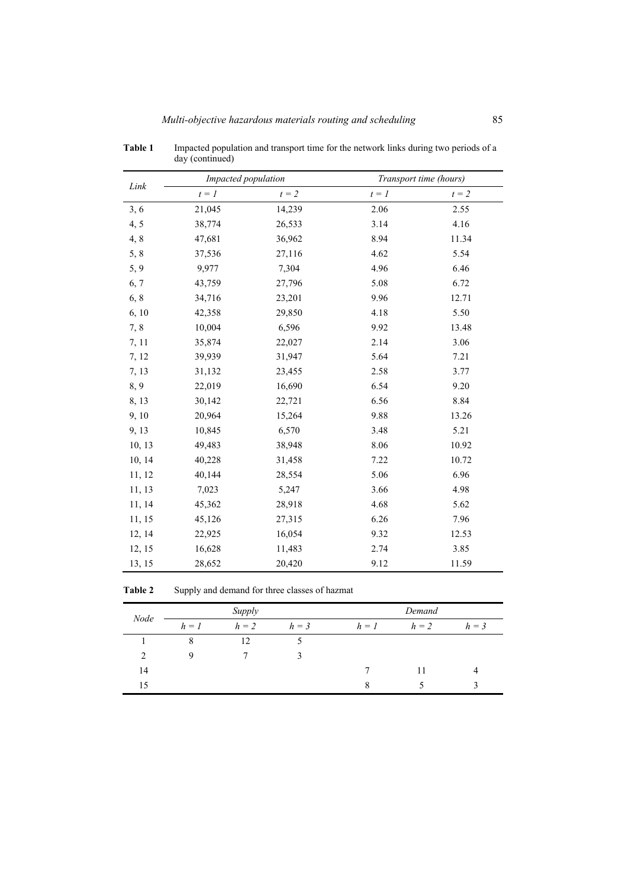|        | Impacted population |         |         | Transport time (hours) |
|--------|---------------------|---------|---------|------------------------|
| Link   | $t = 1$             | $t = 2$ | $t = 1$ | $t = 2$                |
| 3, 6   | 21,045              | 14,239  | 2.06    | 2.55                   |
| 4, 5   | 38,774              | 26,533  | 3.14    | 4.16                   |
| 4, 8   | 47,681              | 36,962  | 8.94    | 11.34                  |
| 5, 8   | 37,536              | 27,116  | 4.62    | 5.54                   |
| 5, 9   | 9,977               | 7,304   | 4.96    | 6.46                   |
| 6, 7   | 43,759              | 27,796  | 5.08    | 6.72                   |
| 6, 8   | 34,716              | 23,201  | 9.96    | 12.71                  |
| 6, 10  | 42,358              | 29,850  | 4.18    | 5.50                   |
| 7,8    | 10,004              | 6,596   | 9.92    | 13.48                  |
| 7, 11  | 35,874              | 22,027  | 2.14    | 3.06                   |
| 7, 12  | 39,939              | 31,947  | 5.64    | 7.21                   |
| 7, 13  | 31,132              | 23,455  | 2.58    | 3.77                   |
| 8,9    | 22,019              | 16,690  | 6.54    | 9.20                   |
| 8, 13  | 30,142              | 22,721  | 6.56    | 8.84                   |
| 9, 10  | 20,964              | 15,264  | 9.88    | 13.26                  |
| 9, 13  | 10,845              | 6,570   | 3.48    | 5.21                   |
| 10, 13 | 49,483              | 38,948  | 8.06    | 10.92                  |
| 10, 14 | 40,228              | 31,458  | 7.22    | 10.72                  |
| 11, 12 | 40,144              | 28,554  | 5.06    | 6.96                   |
| 11, 13 | 7,023               | 5,247   | 3.66    | 4.98                   |
| 11, 14 | 45,362              | 28,918  | 4.68    | 5.62                   |
| 11, 15 | 45,126              | 27,315  | 6.26    | 7.96                   |
| 12, 14 | 22,925              | 16,054  | 9.32    | 12.53                  |
| 12, 15 | 16,628              | 11,483  | 2.74    | 3.85                   |
| 13, 15 | 28,652              | 20,420  | 9.12    | 11.59                  |

**Table 1** Impacted population and transport time for the network links during two periods of a day (continued)

Table 2 Supply and demand for three classes of hazmat

| Node |         | Supply |         |         | Demand |         |
|------|---------|--------|---------|---------|--------|---------|
|      | $h = 1$ | $h=2$  | $h = 3$ | $h = 1$ | $h=2$  | $h = 3$ |
|      | 8       | 12     |         |         |        |         |
|      |         |        |         |         |        |         |
| 14   |         |        |         |         | 11     |         |
| 15   |         |        |         |         |        |         |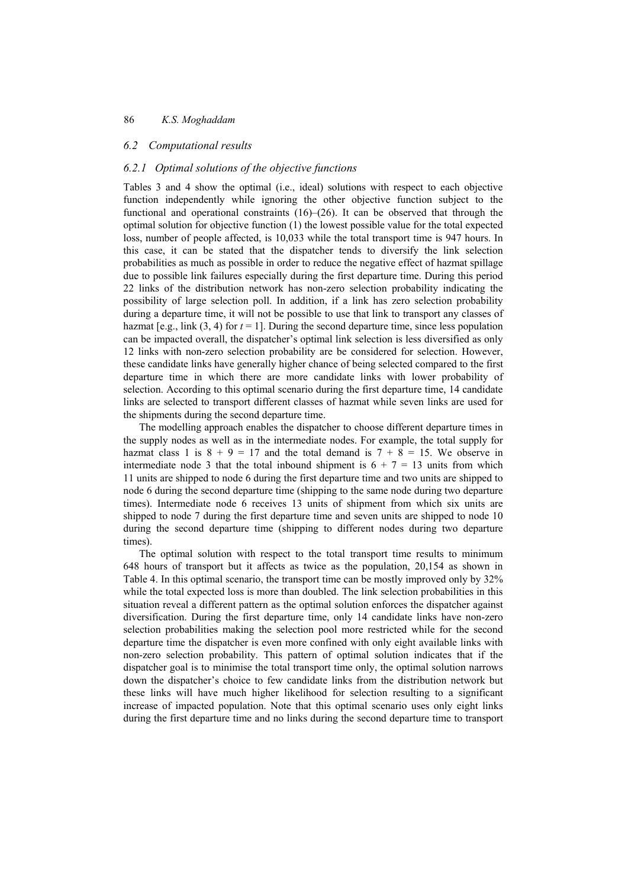#### *6.2 Computational results*

### *6.2.1 Optimal solutions of the objective functions*

Tables 3 and 4 show the optimal (i.e., ideal) solutions with respect to each objective function independently while ignoring the other objective function subject to the functional and operational constraints  $(16)$ – $(26)$ . It can be observed that through the optimal solution for objective function (1) the lowest possible value for the total expected loss, number of people affected, is 10,033 while the total transport time is 947 hours. In this case, it can be stated that the dispatcher tends to diversify the link selection probabilities as much as possible in order to reduce the negative effect of hazmat spillage due to possible link failures especially during the first departure time. During this period 22 links of the distribution network has non-zero selection probability indicating the possibility of large selection poll. In addition, if a link has zero selection probability during a departure time, it will not be possible to use that link to transport any classes of hazmat  $[e.g., \text{link } (3, 4) \text{ for } t = 1]$ . During the second departure time, since less population can be impacted overall, the dispatcher's optimal link selection is less diversified as only 12 links with non-zero selection probability are be considered for selection. However, these candidate links have generally higher chance of being selected compared to the first departure time in which there are more candidate links with lower probability of selection. According to this optimal scenario during the first departure time, 14 candidate links are selected to transport different classes of hazmat while seven links are used for the shipments during the second departure time.

The modelling approach enables the dispatcher to choose different departure times in the supply nodes as well as in the intermediate nodes. For example, the total supply for hazmat class 1 is  $8 + 9 = 17$  and the total demand is  $7 + 8 = 15$ . We observe in intermediate node 3 that the total inbound shipment is  $6 + 7 = 13$  units from which 11 units are shipped to node 6 during the first departure time and two units are shipped to node 6 during the second departure time (shipping to the same node during two departure times). Intermediate node 6 receives 13 units of shipment from which six units are shipped to node 7 during the first departure time and seven units are shipped to node 10 during the second departure time (shipping to different nodes during two departure times).

The optimal solution with respect to the total transport time results to minimum 648 hours of transport but it affects as twice as the population, 20,154 as shown in Table 4. In this optimal scenario, the transport time can be mostly improved only by 32% while the total expected loss is more than doubled. The link selection probabilities in this situation reveal a different pattern as the optimal solution enforces the dispatcher against diversification. During the first departure time, only 14 candidate links have non-zero selection probabilities making the selection pool more restricted while for the second departure time the dispatcher is even more confined with only eight available links with non-zero selection probability. This pattern of optimal solution indicates that if the dispatcher goal is to minimise the total transport time only, the optimal solution narrows down the dispatcher's choice to few candidate links from the distribution network but these links will have much higher likelihood for selection resulting to a significant increase of impacted population. Note that this optimal scenario uses only eight links during the first departure time and no links during the second departure time to transport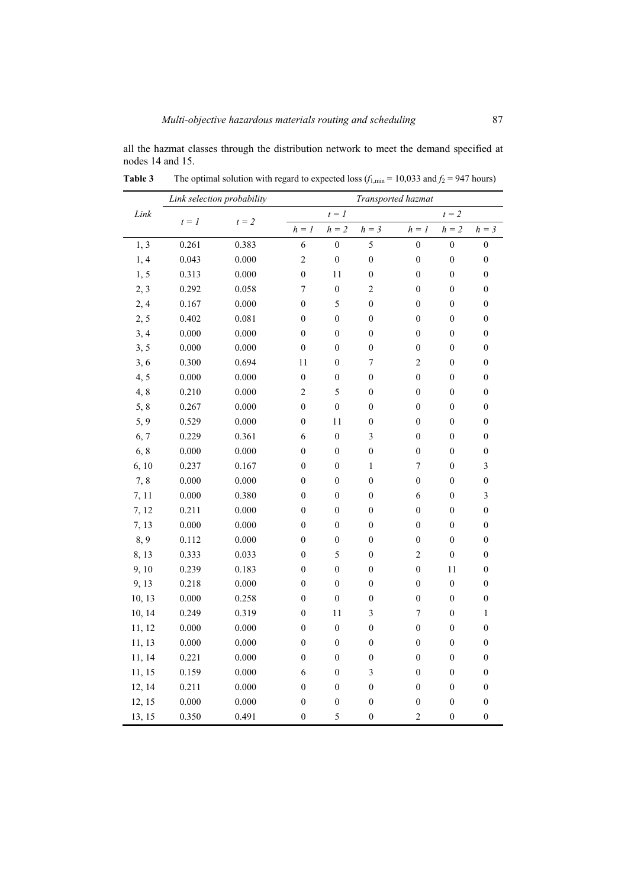all the hazmat classes through the distribution network to meet the demand specified at nodes 14 and 15.

|        | Link selection probability |         | Transported hazmat          |                  |                         |                  |                  |                  |
|--------|----------------------------|---------|-----------------------------|------------------|-------------------------|------------------|------------------|------------------|
| Link   | $t = 1$                    | $t = 2$ |                             | $t = 1$          |                         |                  | $t = 2$          |                  |
|        |                            |         | $\mathfrak{h}=\mathfrak{l}$ | $h = 2$          | $h=\sqrt{3}$            | $h = 1$          | $h = 2$          | $h = 3$          |
| 1, 3   | 0.261                      | 0.383   | 6                           | $\boldsymbol{0}$ | 5                       | $\boldsymbol{0}$ | $\boldsymbol{0}$ | $\boldsymbol{0}$ |
| 1, 4   | 0.043                      | 0.000   | $\overline{c}$              | $\boldsymbol{0}$ | $\overline{0}$          | $\boldsymbol{0}$ | $\boldsymbol{0}$ | $\boldsymbol{0}$ |
| 1, 5   | 0.313                      | 0.000   | $\boldsymbol{0}$            | 11               | $\boldsymbol{0}$        | $\boldsymbol{0}$ | $\boldsymbol{0}$ | $\boldsymbol{0}$ |
| 2, 3   | 0.292                      | 0.058   | $\boldsymbol{7}$            | $\boldsymbol{0}$ | $\overline{c}$          | $\boldsymbol{0}$ | $\boldsymbol{0}$ | $\boldsymbol{0}$ |
| 2,4    | 0.167                      | 0.000   | $\overline{0}$              | 5                | $\overline{0}$          | $\boldsymbol{0}$ | $\boldsymbol{0}$ | $\boldsymbol{0}$ |
| 2, 5   | 0.402                      | 0.081   | $\boldsymbol{0}$            | $\boldsymbol{0}$ | $\boldsymbol{0}$        | $\boldsymbol{0}$ | $\boldsymbol{0}$ | $\boldsymbol{0}$ |
| 3, 4   | 0.000                      | 0.000   | $\boldsymbol{0}$            | $\boldsymbol{0}$ | $\boldsymbol{0}$        | $\boldsymbol{0}$ | $\boldsymbol{0}$ | $\boldsymbol{0}$ |
| 3, 5   | 0.000                      | 0.000   | $\boldsymbol{0}$            | $\boldsymbol{0}$ | $\boldsymbol{0}$        | $\boldsymbol{0}$ | $\boldsymbol{0}$ | $\boldsymbol{0}$ |
| 3, 6   | 0.300                      | 0.694   | 11                          | $\boldsymbol{0}$ | $\overline{7}$          | $\overline{c}$   | $\boldsymbol{0}$ | $\boldsymbol{0}$ |
| 4, 5   | 0.000                      | 0.000   | $\boldsymbol{0}$            | $\boldsymbol{0}$ | $\boldsymbol{0}$        | $\boldsymbol{0}$ | $\boldsymbol{0}$ | $\boldsymbol{0}$ |
| 4, 8   | 0.210                      | 0.000   | $\overline{c}$              | 5                | $\boldsymbol{0}$        | $\boldsymbol{0}$ | $\boldsymbol{0}$ | $\boldsymbol{0}$ |
| 5, 8   | 0.267                      | 0.000   | $\boldsymbol{0}$            | $\boldsymbol{0}$ | $\boldsymbol{0}$        | $\boldsymbol{0}$ | $\boldsymbol{0}$ | $\boldsymbol{0}$ |
| 5, 9   | 0.529                      | 0.000   | $\boldsymbol{0}$            | 11               | $\boldsymbol{0}$        | $\boldsymbol{0}$ | $\boldsymbol{0}$ | $\boldsymbol{0}$ |
| 6, 7   | 0.229                      | 0.361   | 6                           | $\boldsymbol{0}$ | $\overline{\mathbf{3}}$ | $\boldsymbol{0}$ | $\boldsymbol{0}$ | $\boldsymbol{0}$ |
| 6, 8   | 0.000                      | 0.000   | $\boldsymbol{0}$            | $\boldsymbol{0}$ | $\boldsymbol{0}$        | $\boldsymbol{0}$ | $\boldsymbol{0}$ | $\boldsymbol{0}$ |
| 6, 10  | 0.237                      | 0.167   | $\boldsymbol{0}$            | $\boldsymbol{0}$ | $\mathbf{1}$            | $\boldsymbol{7}$ | $\boldsymbol{0}$ | $\mathfrak{Z}$   |
| 7,8    | 0.000                      | 0.000   | $\boldsymbol{0}$            | $\boldsymbol{0}$ | $\overline{0}$          | $\boldsymbol{0}$ | $\boldsymbol{0}$ | $\boldsymbol{0}$ |
| 7, 11  | 0.000                      | 0.380   | $\boldsymbol{0}$            | $\boldsymbol{0}$ | $\overline{0}$          | 6                | $\overline{0}$   | $\overline{3}$   |
| 7, 12  | 0.211                      | 0.000   | $\boldsymbol{0}$            | $\boldsymbol{0}$ | $\overline{0}$          | $\overline{0}$   | $\overline{0}$   | $\boldsymbol{0}$ |
| 7, 13  | 0.000                      | 0.000   | $\boldsymbol{0}$            | $\boldsymbol{0}$ | $\boldsymbol{0}$        | $\boldsymbol{0}$ | $\boldsymbol{0}$ | $\boldsymbol{0}$ |
| 8, 9   | 0.112                      | 0.000   | $\boldsymbol{0}$            | $\boldsymbol{0}$ | $\boldsymbol{0}$        | $\boldsymbol{0}$ | $\boldsymbol{0}$ | $\boldsymbol{0}$ |
| 8, 13  | 0.333                      | 0.033   | $\boldsymbol{0}$            | 5                | $\boldsymbol{0}$        | $\overline{c}$   | $\boldsymbol{0}$ | $\boldsymbol{0}$ |
| 9, 10  | 0.239                      | 0.183   | $\boldsymbol{0}$            | $\boldsymbol{0}$ | $\boldsymbol{0}$        | $\boldsymbol{0}$ | 11               | $\boldsymbol{0}$ |
| 9, 13  | 0.218                      | 0.000   | $\boldsymbol{0}$            | $\boldsymbol{0}$ | $\boldsymbol{0}$        | $\boldsymbol{0}$ | $\boldsymbol{0}$ | $\boldsymbol{0}$ |
| 10, 13 | 0.000                      | 0.258   | $\boldsymbol{0}$            | $\boldsymbol{0}$ | $\boldsymbol{0}$        | $\boldsymbol{0}$ | $\boldsymbol{0}$ | $\boldsymbol{0}$ |
| 10, 14 | 0.249                      | 0.319   | $\boldsymbol{0}$            | 11               | 3                       | $\sqrt{ }$       | $\boldsymbol{0}$ | $\,1$            |
| 11, 12 | 0.000                      | 0.000   | $\boldsymbol{0}$            | $\boldsymbol{0}$ | $\boldsymbol{0}$        | $\boldsymbol{0}$ | $\boldsymbol{0}$ | $\boldsymbol{0}$ |
| 11, 13 | 0.000                      | 0.000   | $\boldsymbol{0}$            | $\boldsymbol{0}$ | $\boldsymbol{0}$        | $\boldsymbol{0}$ | $\boldsymbol{0}$ | $\boldsymbol{0}$ |
| 11, 14 | 0.221                      | 0.000   | $\boldsymbol{0}$            | $\boldsymbol{0}$ | $\boldsymbol{0}$        | $\boldsymbol{0}$ | $\boldsymbol{0}$ | $\boldsymbol{0}$ |
| 11, 15 | 0.159                      | 0.000   | 6                           | $\boldsymbol{0}$ | $\overline{\mathbf{3}}$ | $\boldsymbol{0}$ | $\boldsymbol{0}$ | $\boldsymbol{0}$ |
| 12, 14 | 0.211                      | 0.000   | $\boldsymbol{0}$            | $\boldsymbol{0}$ | $\boldsymbol{0}$        | $\boldsymbol{0}$ | $\boldsymbol{0}$ | $\boldsymbol{0}$ |
| 12, 15 | 0.000                      | 0.000   | $\boldsymbol{0}$            | $\boldsymbol{0}$ | $\boldsymbol{0}$        | $\boldsymbol{0}$ | $\boldsymbol{0}$ | $\boldsymbol{0}$ |
| 13, 15 | 0.350                      | 0.491   | $\boldsymbol{0}$            | 5                | $\boldsymbol{0}$        | $\overline{c}$   | $\boldsymbol{0}$ | $\boldsymbol{0}$ |

**Table 3** The optimal solution with regard to expected loss  $(f_{1,min} = 10,033 \text{ and } f_2 = 947 \text{ hours})$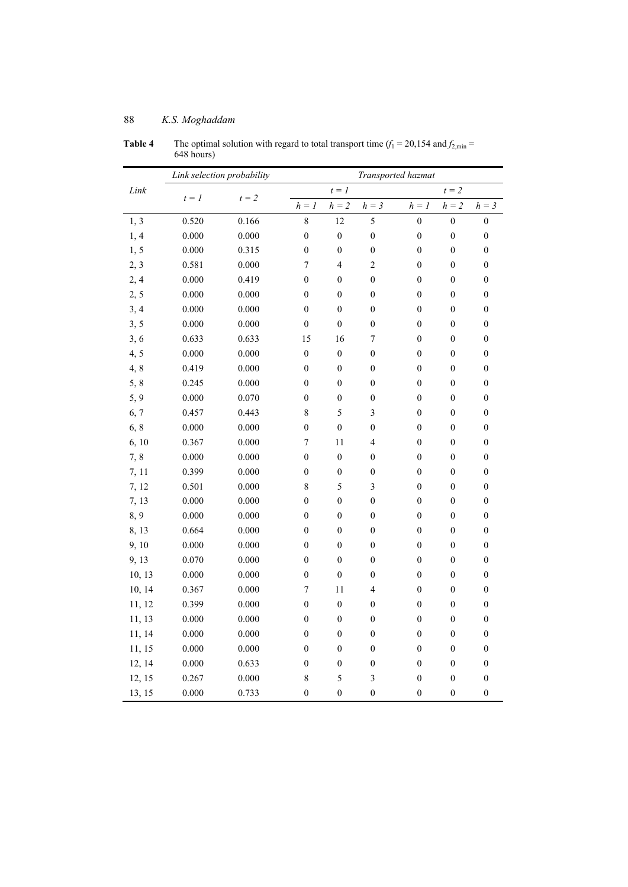|        | Link selection probability |         | Transported hazmat |                  |                         |                             |                  |                  |  |
|--------|----------------------------|---------|--------------------|------------------|-------------------------|-----------------------------|------------------|------------------|--|
| Link   |                            |         |                    | $t = 1$          |                         |                             | $t = 2$          |                  |  |
|        | $t = 1$                    | $t = 2$ | $h = 1$            | $h=\sqrt{2}$     | $h=\sqrt{3}$            | $\mathfrak{h}=\mathfrak{l}$ | $h = 2$          | $h = 3$          |  |
| 1, 3   | 0.520                      | 0.166   | 8                  | 12               | 5                       | $\boldsymbol{0}$            | $\boldsymbol{0}$ | $\boldsymbol{0}$ |  |
| 1, 4   | 0.000                      | 0.000   | $\boldsymbol{0}$   | $\boldsymbol{0}$ | $\boldsymbol{0}$        | $\boldsymbol{0}$            | $\boldsymbol{0}$ | $\boldsymbol{0}$ |  |
| 1, 5   | 0.000                      | 0.315   | $\boldsymbol{0}$   | $\boldsymbol{0}$ | $\boldsymbol{0}$        | $\boldsymbol{0}$            | $\boldsymbol{0}$ | $\boldsymbol{0}$ |  |
| 2, 3   | 0.581                      | 0.000   | $\overline{7}$     | $\overline{4}$   | $\overline{c}$          | $\boldsymbol{0}$            | $\boldsymbol{0}$ | $\boldsymbol{0}$ |  |
| 2,4    | 0.000                      | 0.419   | $\boldsymbol{0}$   | $\boldsymbol{0}$ | $\boldsymbol{0}$        | $\boldsymbol{0}$            | $\boldsymbol{0}$ | $\boldsymbol{0}$ |  |
| 2, 5   | 0.000                      | 0.000   | $\boldsymbol{0}$   | $\boldsymbol{0}$ | $\boldsymbol{0}$        | $\boldsymbol{0}$            | $\boldsymbol{0}$ | $\boldsymbol{0}$ |  |
| 3, 4   | 0.000                      | 0.000   | $\boldsymbol{0}$   | $\boldsymbol{0}$ | $\boldsymbol{0}$        | $\boldsymbol{0}$            | $\boldsymbol{0}$ | $\boldsymbol{0}$ |  |
| 3, 5   | 0.000                      | 0.000   | $\boldsymbol{0}$   | $\boldsymbol{0}$ | $\boldsymbol{0}$        | $\boldsymbol{0}$            | $\boldsymbol{0}$ | $\boldsymbol{0}$ |  |
| 3, 6   | 0.633                      | 0.633   | 15                 | 16               | 7                       | $\boldsymbol{0}$            | $\boldsymbol{0}$ | $\boldsymbol{0}$ |  |
| 4, 5   | 0.000                      | 0.000   | $\boldsymbol{0}$   | $\boldsymbol{0}$ | $\boldsymbol{0}$        | $\boldsymbol{0}$            | $\boldsymbol{0}$ | $\boldsymbol{0}$ |  |
| 4, 8   | 0.419                      | 0.000   | $\boldsymbol{0}$   | $\boldsymbol{0}$ | $\boldsymbol{0}$        | $\boldsymbol{0}$            | $\boldsymbol{0}$ | $\boldsymbol{0}$ |  |
| 5, 8   | 0.245                      | 0.000   | $\boldsymbol{0}$   | $\boldsymbol{0}$ | $\boldsymbol{0}$        | $\boldsymbol{0}$            | $\boldsymbol{0}$ | $\boldsymbol{0}$ |  |
| 5, 9   | 0.000                      | 0.070   | $\boldsymbol{0}$   | $\boldsymbol{0}$ | $\boldsymbol{0}$        | $\boldsymbol{0}$            | $\boldsymbol{0}$ | $\boldsymbol{0}$ |  |
| 6, 7   | 0.457                      | 0.443   | $\,$ $\,$          | 5                | $\overline{\mathbf{3}}$ | $\boldsymbol{0}$            | $\boldsymbol{0}$ | $\boldsymbol{0}$ |  |
| 6, 8   | 0.000                      | 0.000   | $\boldsymbol{0}$   | $\boldsymbol{0}$ | $\boldsymbol{0}$        | $\boldsymbol{0}$            | $\boldsymbol{0}$ | $\boldsymbol{0}$ |  |
| 6, 10  | 0.367                      | 0.000   | 7                  | 11               | 4                       | $\boldsymbol{0}$            | $\boldsymbol{0}$ | $\boldsymbol{0}$ |  |
| 7,8    | 0.000                      | 0.000   | $\boldsymbol{0}$   | $\boldsymbol{0}$ | $\boldsymbol{0}$        | $\boldsymbol{0}$            | $\boldsymbol{0}$ | $\boldsymbol{0}$ |  |
| 7, 11  | 0.399                      | 0.000   | $\boldsymbol{0}$   | $\boldsymbol{0}$ | $\boldsymbol{0}$        | $\boldsymbol{0}$            | $\boldsymbol{0}$ | $\boldsymbol{0}$ |  |
| 7, 12  | 0.501                      | 0.000   | 8                  | 5                | $\overline{3}$          | $\boldsymbol{0}$            | $\boldsymbol{0}$ | $\boldsymbol{0}$ |  |
| 7, 13  | 0.000                      | 0.000   | $\boldsymbol{0}$   | $\boldsymbol{0}$ | $\boldsymbol{0}$        | $\boldsymbol{0}$            | $\boldsymbol{0}$ | $\boldsymbol{0}$ |  |
| 8,9    | 0.000                      | 0.000   | $\boldsymbol{0}$   | $\boldsymbol{0}$ | $\boldsymbol{0}$        | $\boldsymbol{0}$            | $\boldsymbol{0}$ | $\boldsymbol{0}$ |  |
| 8, 13  | 0.664                      | 0.000   | $\boldsymbol{0}$   | $\boldsymbol{0}$ | $\boldsymbol{0}$        | $\boldsymbol{0}$            | $\boldsymbol{0}$ | $\boldsymbol{0}$ |  |
| 9, 10  | 0.000                      | 0.000   | $\boldsymbol{0}$   | $\boldsymbol{0}$ | $\boldsymbol{0}$        | $\boldsymbol{0}$            | $\boldsymbol{0}$ | $\boldsymbol{0}$ |  |
| 9,13   | 0.070                      | 0.000   | $\boldsymbol{0}$   | $\overline{0}$   | $\boldsymbol{0}$        | $\boldsymbol{0}$            | $\boldsymbol{0}$ | $\boldsymbol{0}$ |  |
| 10, 13 | 0.000                      | 0.000   | $\boldsymbol{0}$   | $\boldsymbol{0}$ | $\boldsymbol{0}$        | $\boldsymbol{0}$            | $\boldsymbol{0}$ | $\boldsymbol{0}$ |  |
| 10, 14 | 0.367                      | 0.000   | 7                  | 11               | 4                       | $\boldsymbol{0}$            | $\boldsymbol{0}$ | $\boldsymbol{0}$ |  |
| 11, 12 | 0.399                      | 0.000   | $\boldsymbol{0}$   | $\boldsymbol{0}$ | $\boldsymbol{0}$        | $\boldsymbol{0}$            | $\boldsymbol{0}$ | $\boldsymbol{0}$ |  |
| 11, 13 | 0.000                      | 0.000   | $\boldsymbol{0}$   | $\boldsymbol{0}$ | $\boldsymbol{0}$        | $\boldsymbol{0}$            | $\boldsymbol{0}$ | $\boldsymbol{0}$ |  |
| 11, 14 | 0.000                      | 0.000   | $\boldsymbol{0}$   | $\boldsymbol{0}$ | $\boldsymbol{0}$        | $\boldsymbol{0}$            | $\boldsymbol{0}$ | $\boldsymbol{0}$ |  |
| 11, 15 | 0.000                      | 0.000   | $\boldsymbol{0}$   | $\boldsymbol{0}$ | $\boldsymbol{0}$        | $\boldsymbol{0}$            | $\boldsymbol{0}$ | $\boldsymbol{0}$ |  |
| 12, 14 | 0.000                      | 0.633   | $\boldsymbol{0}$   | $\boldsymbol{0}$ | $\boldsymbol{0}$        | $\boldsymbol{0}$            | $\boldsymbol{0}$ | $\boldsymbol{0}$ |  |
| 12, 15 | 0.267                      | 0.000   | 8                  | 5                | $\overline{\mathbf{3}}$ | $\boldsymbol{0}$            | $\boldsymbol{0}$ | $\boldsymbol{0}$ |  |
| 13, 15 | 0.000                      | 0.733   | $\boldsymbol{0}$   | $\boldsymbol{0}$ | $\mathbf{0}$            | $\boldsymbol{0}$            | $\boldsymbol{0}$ | $\boldsymbol{0}$ |  |

**Table 4** The optimal solution with regard to total transport time  $(f_1 = 20, 154 \text{ and } f_{2,\text{min}} =$ 648 hours)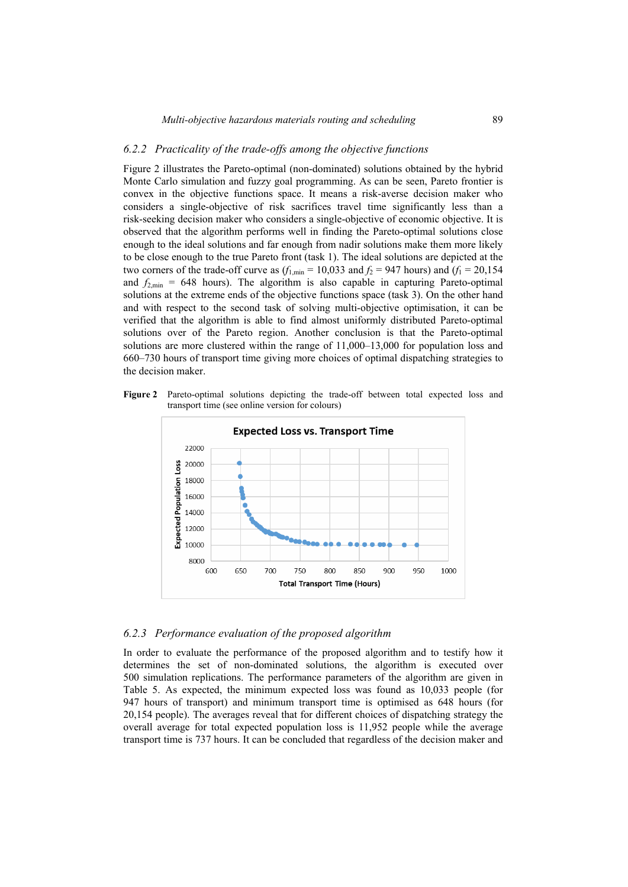### *6.2.2 Practicality of the trade-offs among the objective functions*

Figure 2 illustrates the Pareto-optimal (non-dominated) solutions obtained by the hybrid Monte Carlo simulation and fuzzy goal programming. As can be seen, Pareto frontier is convex in the objective functions space. It means a risk-averse decision maker who considers a single-objective of risk sacrifices travel time significantly less than a risk-seeking decision maker who considers a single-objective of economic objective. It is observed that the algorithm performs well in finding the Pareto-optimal solutions close enough to the ideal solutions and far enough from nadir solutions make them more likely to be close enough to the true Pareto front (task 1). The ideal solutions are depicted at the two corners of the trade-off curve as  $(f_{1,\text{min}} = 10,033$  and  $f_2 = 947$  hours) and  $(f_1 = 20,154$ and  $f_{2,\text{min}} = 648$  hours). The algorithm is also capable in capturing Pareto-optimal solutions at the extreme ends of the objective functions space (task 3). On the other hand and with respect to the second task of solving multi-objective optimisation, it can be verified that the algorithm is able to find almost uniformly distributed Pareto-optimal solutions over of the Pareto region. Another conclusion is that the Pareto-optimal solutions are more clustered within the range of 11,000–13,000 for population loss and 660–730 hours of transport time giving more choices of optimal dispatching strategies to the decision maker.

**Figure 2** Pareto-optimal solutions depicting the trade-off between total expected loss and transport time (see online version for colours)



### *6.2.3 Performance evaluation of the proposed algorithm*

In order to evaluate the performance of the proposed algorithm and to testify how it determines the set of non-dominated solutions, the algorithm is executed over 500 simulation replications. The performance parameters of the algorithm are given in Table 5. As expected, the minimum expected loss was found as 10,033 people (for 947 hours of transport) and minimum transport time is optimised as 648 hours (for 20,154 people). The averages reveal that for different choices of dispatching strategy the overall average for total expected population loss is 11,952 people while the average transport time is 737 hours. It can be concluded that regardless of the decision maker and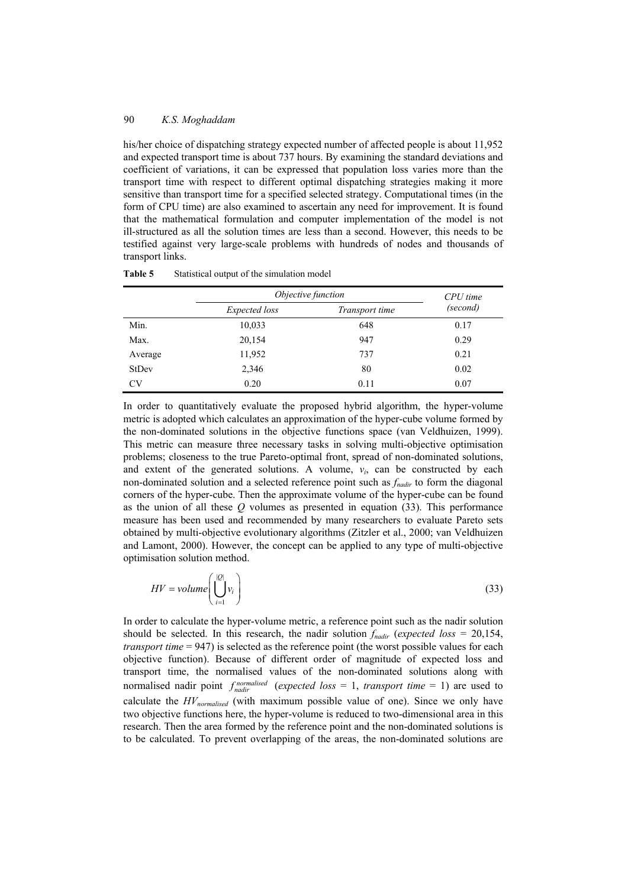his/her choice of dispatching strategy expected number of affected people is about 11,952 and expected transport time is about 737 hours. By examining the standard deviations and coefficient of variations, it can be expressed that population loss varies more than the transport time with respect to different optimal dispatching strategies making it more sensitive than transport time for a specified selected strategy. Computational times (in the form of CPU time) are also examined to ascertain any need for improvement. It is found that the mathematical formulation and computer implementation of the model is not ill-structured as all the solution times are less than a second. However, this needs to be testified against very large-scale problems with hundreds of nodes and thousands of transport links.

|              | Objective function                     | $CPU$ time<br>(second) |      |
|--------------|----------------------------------------|------------------------|------|
|              | <i>Expected loss</i><br>Transport time |                        |      |
| Min.         | 10,033                                 | 648                    | 0.17 |
| Max.         | 20,154                                 | 947                    | 0.29 |
| Average      | 11,952                                 | 737                    | 0.21 |
| <b>StDev</b> | 2,346                                  | 80                     | 0.02 |
| CV           | 0.20                                   | 0.11                   | 0.07 |

**Table 5** Statistical output of the simulation model

In order to quantitatively evaluate the proposed hybrid algorithm, the hyper-volume metric is adopted which calculates an approximation of the hyper-cube volume formed by the non-dominated solutions in the objective functions space (van Veldhuizen, 1999). This metric can measure three necessary tasks in solving multi-objective optimisation problems; closeness to the true Pareto-optimal front, spread of non-dominated solutions, and extent of the generated solutions. A volume,  $v_i$ , can be constructed by each non-dominated solution and a selected reference point such as *fnadir* to form the diagonal corners of the hyper-cube. Then the approximate volume of the hyper-cube can be found as the union of all these *Q* volumes as presented in equation (33). This performance measure has been used and recommended by many researchers to evaluate Pareto sets obtained by multi-objective evolutionary algorithms (Zitzler et al., 2000; van Veldhuizen and Lamont, 2000). However, the concept can be applied to any type of multi-objective optimisation solution method.

$$
HV = volume \left( \bigcup_{i=1}^{|Q|} v_i \right) \tag{33}
$$

In order to calculate the hyper-volume metric, a reference point such as the nadir solution should be selected. In this research, the nadir solution  $f_{nadir}$  (*expected loss* = 20,154, *transport time* = 947) is selected as the reference point (the worst possible values for each objective function). Because of different order of magnitude of expected loss and transport time, the normalised values of the non-dominated solutions along with normalised nadir point  $f_{nadir}^{normalised}$  (*expected loss* = 1, *transport time* = 1) are used to calculate the *HVnormalised* (with maximum possible value of one). Since we only have two objective functions here, the hyper-volume is reduced to two-dimensional area in this research. Then the area formed by the reference point and the non-dominated solutions is to be calculated. To prevent overlapping of the areas, the non-dominated solutions are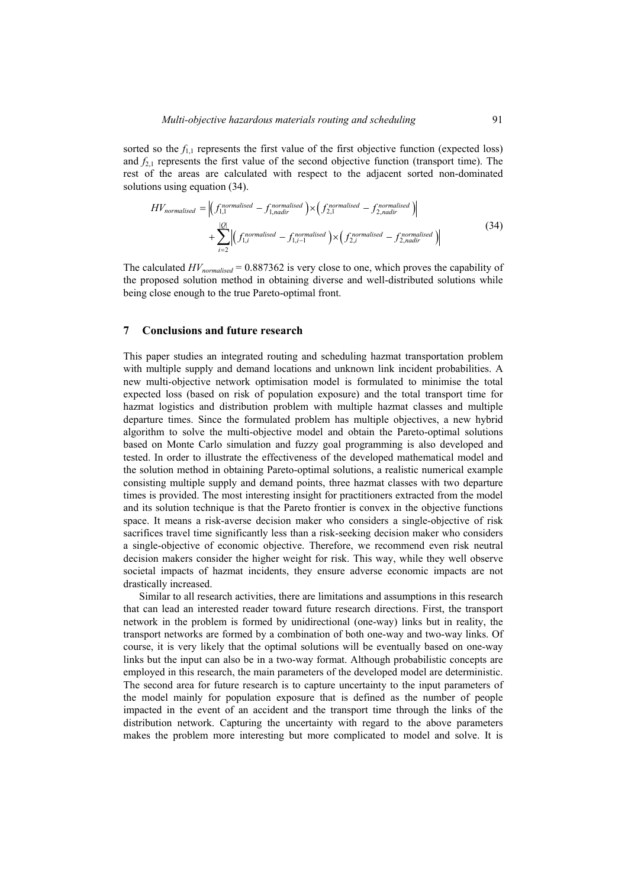sorted so the  $f_{11}$  represents the first value of the first objective function (expected loss) and  $f_{21}$  represents the first value of the second objective function (transport time). The rest of the areas are calculated with respect to the adjacent sorted non-dominated solutions using equation (34).

$$
HV_{normalised} = \left| \left( f_{1,1}^{normalised} - f_{1,nadir}^{normalised} \right) \times \left( f_{2,1}^{normalised} - f_{2,nadir}^{normalised} \right) \right|
$$
  
+ 
$$
\sum_{i=2}^{|O|} \left| \left( f_{1,i}^{normalised} - f_{1,i-1}^{normalised} \right) \times \left( f_{2,i}^{normalised} - f_{2,nadir}^{normalised} \right) \right|
$$
(34)

The calculated  $HV_{normalised} = 0.887362$  is very close to one, which proves the capability of the proposed solution method in obtaining diverse and well-distributed solutions while being close enough to the true Pareto-optimal front.

#### **7 Conclusions and future research**

This paper studies an integrated routing and scheduling hazmat transportation problem with multiple supply and demand locations and unknown link incident probabilities. A new multi-objective network optimisation model is formulated to minimise the total expected loss (based on risk of population exposure) and the total transport time for hazmat logistics and distribution problem with multiple hazmat classes and multiple departure times. Since the formulated problem has multiple objectives, a new hybrid algorithm to solve the multi-objective model and obtain the Pareto-optimal solutions based on Monte Carlo simulation and fuzzy goal programming is also developed and tested. In order to illustrate the effectiveness of the developed mathematical model and the solution method in obtaining Pareto-optimal solutions, a realistic numerical example consisting multiple supply and demand points, three hazmat classes with two departure times is provided. The most interesting insight for practitioners extracted from the model and its solution technique is that the Pareto frontier is convex in the objective functions space. It means a risk-averse decision maker who considers a single-objective of risk sacrifices travel time significantly less than a risk-seeking decision maker who considers a single-objective of economic objective. Therefore, we recommend even risk neutral decision makers consider the higher weight for risk. This way, while they well observe societal impacts of hazmat incidents, they ensure adverse economic impacts are not drastically increased.

Similar to all research activities, there are limitations and assumptions in this research that can lead an interested reader toward future research directions. First, the transport network in the problem is formed by unidirectional (one-way) links but in reality, the transport networks are formed by a combination of both one-way and two-way links. Of course, it is very likely that the optimal solutions will be eventually based on one-way links but the input can also be in a two-way format. Although probabilistic concepts are employed in this research, the main parameters of the developed model are deterministic. The second area for future research is to capture uncertainty to the input parameters of the model mainly for population exposure that is defined as the number of people impacted in the event of an accident and the transport time through the links of the distribution network. Capturing the uncertainty with regard to the above parameters makes the problem more interesting but more complicated to model and solve. It is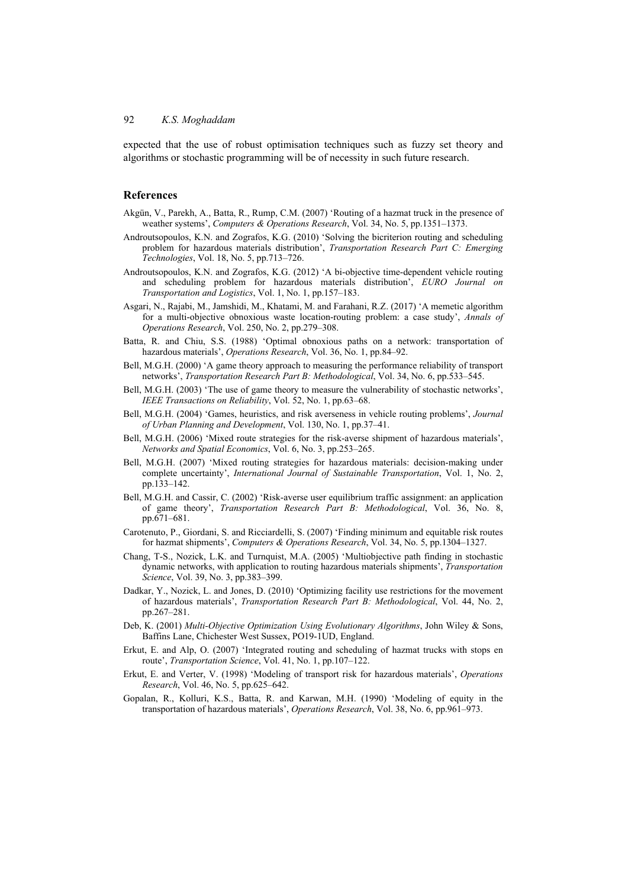expected that the use of robust optimisation techniques such as fuzzy set theory and algorithms or stochastic programming will be of necessity in such future research.

### **References**

- Akgün, V., Parekh, A., Batta, R., Rump, C.M. (2007) 'Routing of a hazmat truck in the presence of weather systems', *Computers & Operations Research*, Vol. 34, No. 5, pp.1351–1373.
- Androutsopoulos, K.N. and Zografos, K.G. (2010) 'Solving the bicriterion routing and scheduling problem for hazardous materials distribution', *Transportation Research Part C: Emerging Technologies*, Vol. 18, No. 5, pp.713–726.
- Androutsopoulos, K.N. and Zografos, K.G. (2012) 'A bi-objective time-dependent vehicle routing and scheduling problem for hazardous materials distribution', *EURO Journal on Transportation and Logistics*, Vol. 1, No. 1, pp.157–183.
- Asgari, N., Rajabi, M., Jamshidi, M., Khatami, M. and Farahani, R.Z. (2017) 'A memetic algorithm for a multi-objective obnoxious waste location-routing problem: a case study', *Annals of Operations Research*, Vol. 250, No. 2, pp.279–308.
- Batta, R. and Chiu, S.S. (1988) 'Optimal obnoxious paths on a network: transportation of hazardous materials', *Operations Research*, Vol. 36, No. 1, pp.84–92.
- Bell, M.G.H. (2000) 'A game theory approach to measuring the performance reliability of transport networks', *Transportation Research Part B: Methodological*, Vol. 34, No. 6, pp.533–545.
- Bell, M.G.H. (2003) 'The use of game theory to measure the vulnerability of stochastic networks', *IEEE Transactions on Reliability*, Vol. 52, No. 1, pp.63–68.
- Bell, M.G.H. (2004) 'Games, heuristics, and risk averseness in vehicle routing problems', *Journal of Urban Planning and Development*, Vol. 130, No. 1, pp.37–41.
- Bell, M.G.H. (2006) 'Mixed route strategies for the risk-averse shipment of hazardous materials', *Networks and Spatial Economics*, Vol. 6, No. 3, pp.253–265.
- Bell, M.G.H. (2007) 'Mixed routing strategies for hazardous materials: decision-making under complete uncertainty', *International Journal of Sustainable Transportation*, Vol. 1, No. 2, pp.133–142.
- Bell, M.G.H. and Cassir, C. (2002) 'Risk-averse user equilibrium traffic assignment: an application of game theory', *Transportation Research Part B: Methodological*, Vol. 36, No. 8, pp.671–681.
- Carotenuto, P., Giordani, S. and Ricciardelli, S. (2007) 'Finding minimum and equitable risk routes for hazmat shipments', *Computers & Operations Research*, Vol. 34, No. 5, pp.1304–1327.
- Chang, T-S., Nozick, L.K. and Turnquist, M.A. (2005) 'Multiobjective path finding in stochastic dynamic networks, with application to routing hazardous materials shipments', *Transportation Science*, Vol. 39, No. 3, pp.383–399.
- Dadkar, Y., Nozick, L. and Jones, D. (2010) 'Optimizing facility use restrictions for the movement of hazardous materials', *Transportation Research Part B: Methodological*, Vol. 44, No. 2, pp.267–281.
- Deb, K. (2001) *Multi-Objective Optimization Using Evolutionary Algorithms*, John Wiley & Sons, Baffins Lane, Chichester West Sussex, PO19-1UD, England.
- Erkut, E. and Alp, O. (2007) 'Integrated routing and scheduling of hazmat trucks with stops en route', *Transportation Science*, Vol. 41, No. 1, pp.107–122.
- Erkut, E. and Verter, V. (1998) 'Modeling of transport risk for hazardous materials', *Operations Research*, Vol. 46, No. 5, pp.625–642.
- Gopalan, R., Kolluri, K.S., Batta, R. and Karwan, M.H. (1990) 'Modeling of equity in the transportation of hazardous materials', *Operations Research*, Vol. 38, No. 6, pp.961–973.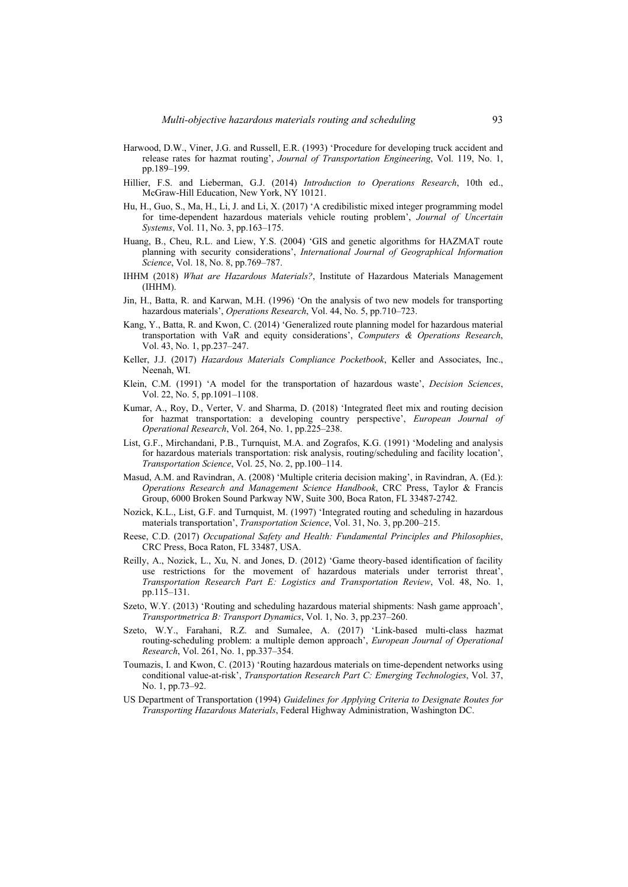- Harwood, D.W., Viner, J.G. and Russell, E.R. (1993) 'Procedure for developing truck accident and release rates for hazmat routing', *Journal of Transportation Engineering*, Vol. 119, No. 1, pp.189–199.
- Hillier, F.S. and Lieberman, G.J. (2014) *Introduction to Operations Research*, 10th ed., McGraw-Hill Education, New York, NY 10121.
- Hu, H., Guo, S., Ma, H., Li, J. and Li, X. (2017) 'A credibilistic mixed integer programming model for time-dependent hazardous materials vehicle routing problem', *Journal of Uncertain Systems*, Vol. 11, No. 3, pp.163–175.
- Huang, B., Cheu, R.L. and Liew, Y.S. (2004) 'GIS and genetic algorithms for HAZMAT route planning with security considerations', *International Journal of Geographical Information Science*, Vol. 18, No. 8, pp.769–787.
- IHHM (2018) *What are Hazardous Materials?*, Institute of Hazardous Materials Management (IHHM).
- Jin, H., Batta, R. and Karwan, M.H. (1996) 'On the analysis of two new models for transporting hazardous materials', *Operations Research*, Vol. 44, No. 5, pp.710–723.
- Kang, Y., Batta, R. and Kwon, C. (2014) 'Generalized route planning model for hazardous material transportation with VaR and equity considerations', *Computers & Operations Research*, Vol. 43, No. 1, pp.237–247.
- Keller, J.J. (2017) *Hazardous Materials Compliance Pocketbook*, Keller and Associates, Inc., Neenah, WI.
- Klein, C.M. (1991) 'A model for the transportation of hazardous waste', *Decision Sciences*, Vol. 22, No. 5, pp.1091–1108.
- Kumar, A., Roy, D., Verter, V. and Sharma, D. (2018) 'Integrated fleet mix and routing decision for hazmat transportation: a developing country perspective', *European Journal of Operational Research*, Vol. 264, No. 1, pp.225–238.
- List, G.F., Mirchandani, P.B., Turnquist, M.A. and Zografos, K.G. (1991) 'Modeling and analysis for hazardous materials transportation: risk analysis, routing/scheduling and facility location', *Transportation Science*, Vol. 25, No. 2, pp.100–114.
- Masud, A.M. and Ravindran, A. (2008) 'Multiple criteria decision making', in Ravindran, A. (Ed.): *Operations Research and Management Science Handbook*, CRC Press, Taylor & Francis Group, 6000 Broken Sound Parkway NW, Suite 300, Boca Raton, FL 33487-2742.
- Nozick, K.L., List, G.F. and Turnquist, M. (1997) 'Integrated routing and scheduling in hazardous materials transportation', *Transportation Science*, Vol. 31, No. 3, pp.200–215.
- Reese, C.D. (2017) *Occupational Safety and Health: Fundamental Principles and Philosophies*, CRC Press, Boca Raton, FL 33487, USA.
- Reilly, A., Nozick, L., Xu, N. and Jones, D. (2012) 'Game theory-based identification of facility use restrictions for the movement of hazardous materials under terrorist threat', *Transportation Research Part E: Logistics and Transportation Review*, Vol. 48, No. 1, pp.115–131.
- Szeto, W.Y. (2013) 'Routing and scheduling hazardous material shipments: Nash game approach', *Transportmetrica B: Transport Dynamics*, Vol. 1, No. 3, pp.237–260.
- Szeto, W.Y., Farahani, R.Z. and Sumalee, A. (2017) 'Link-based multi-class hazmat routing-scheduling problem: a multiple demon approach', *European Journal of Operational Research*, Vol. 261, No. 1, pp.337–354.
- Toumazis, I. and Kwon, C. (2013) 'Routing hazardous materials on time-dependent networks using conditional value-at-risk', *Transportation Research Part C: Emerging Technologies*, Vol. 37, No. 1, pp.73–92.
- US Department of Transportation (1994) *Guidelines for Applying Criteria to Designate Routes for Transporting Hazardous Materials*, Federal Highway Administration, Washington DC.